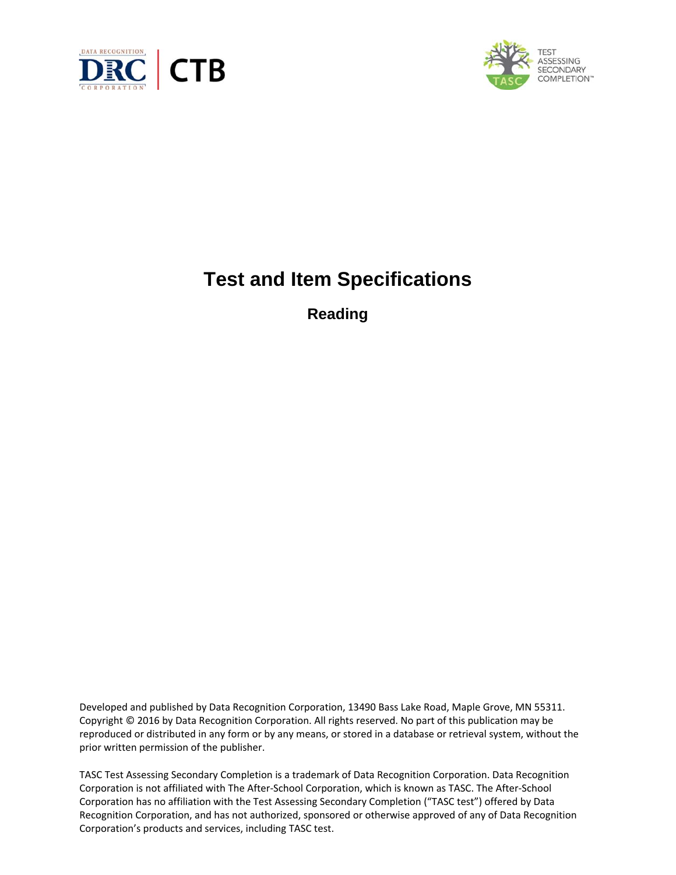



# **Test and Item Specifications**

**Reading**

Developed and published by Data Recognition Corporation, 13490 Bass Lake Road, Maple Grove, MN 55311. Copyright © 2016 by Data Recognition Corporation. All rights reserved. No part of this publication may be reproduced or distributed in any form or by any means, or stored in a database or retrieval system, without the prior written permission of the publisher.

TASC Test Assessing Secondary Completion is a trademark of Data Recognition Corporation. Data Recognition Corporation is not affiliated with The After‐School Corporation, which is known as TASC. The After‐School Corporation has no affiliation with the Test Assessing Secondary Completion ("TASC test") offered by Data Recognition Corporation, and has not authorized, sponsored or otherwise approved of any of Data Recognition Corporation's products and services, including TASC test.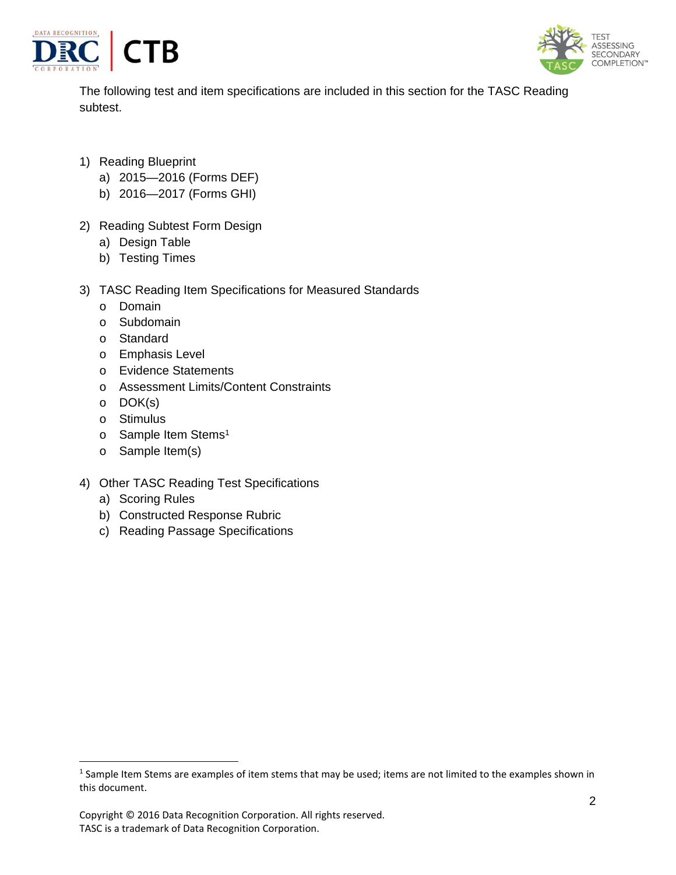



The following test and item specifications are included in this section for the TASC Reading subtest.

- 1) Reading Blueprint
	- a) 2015—2016 (Forms DEF)
	- b) 2016—2017 (Forms GHI)
- 2) Reading Subtest Form Design
	- a) Design Table
	- b) Testing Times
- 3) TASC Reading Item Specifications for Measured Standards
	- o Domain
	- o Subdomain
	- o Standard
	- o Emphasis Level
	- o Evidence Statements
	- o Assessment Limits/Content Constraints
	- o DOK(s)
	- o Stimulus
	- o Sample Item Stems<sup>1</sup>
	- o Sample Item(s)
- 4) Other TASC Reading Test Specifications
	- a) Scoring Rules

- b) Constructed Response Rubric
- c) Reading Passage Specifications

<sup>&</sup>lt;sup>1</sup> Sample Item Stems are examples of item stems that may be used; items are not limited to the examples shown in this document.

Copyright © 2016 Data Recognition Corporation. All rights reserved. TASC is a trademark of Data Recognition Corporation.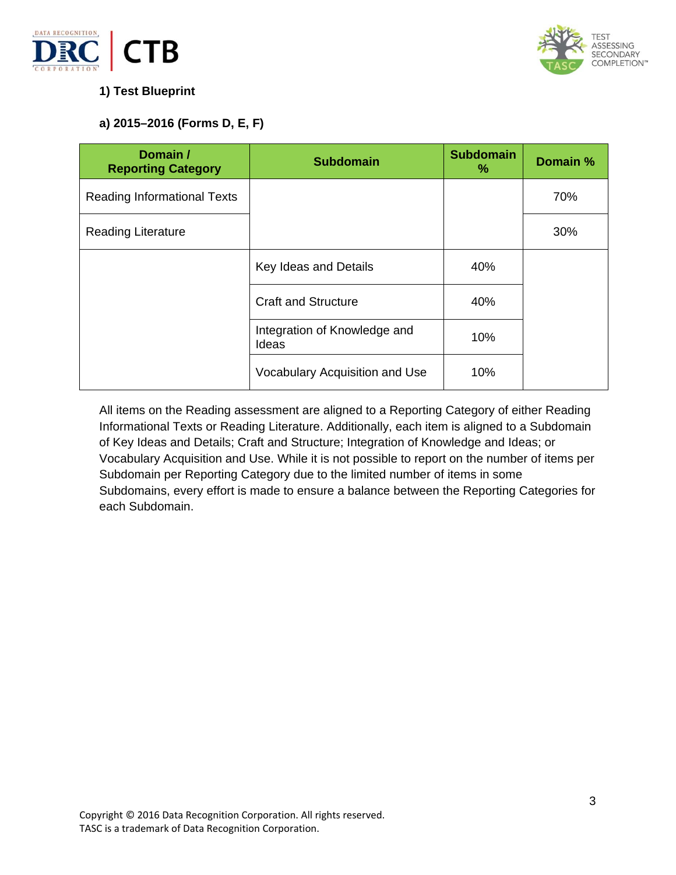



# **1) Test Blueprint**

# **a) 2015–2016 (Forms D, E, F)**

| Domain /<br><b>Reporting Category</b> | <b>Subdomain</b>                      | <b>Subdomain</b><br>% | Domain % |
|---------------------------------------|---------------------------------------|-----------------------|----------|
| Reading Informational Texts           |                                       |                       | 70%      |
| <b>Reading Literature</b>             |                                       |                       | 30%      |
|                                       | Key Ideas and Details                 | 40%                   |          |
|                                       | <b>Craft and Structure</b>            | 40%                   |          |
|                                       | Integration of Knowledge and<br>Ideas | 10%                   |          |
|                                       | Vocabulary Acquisition and Use        | 10%                   |          |

All items on the Reading assessment are aligned to a Reporting Category of either Reading Informational Texts or Reading Literature. Additionally, each item is aligned to a Subdomain of Key Ideas and Details; Craft and Structure; Integration of Knowledge and Ideas; or Vocabulary Acquisition and Use. While it is not possible to report on the number of items per Subdomain per Reporting Category due to the limited number of items in some Subdomains, every effort is made to ensure a balance between the Reporting Categories for each Subdomain.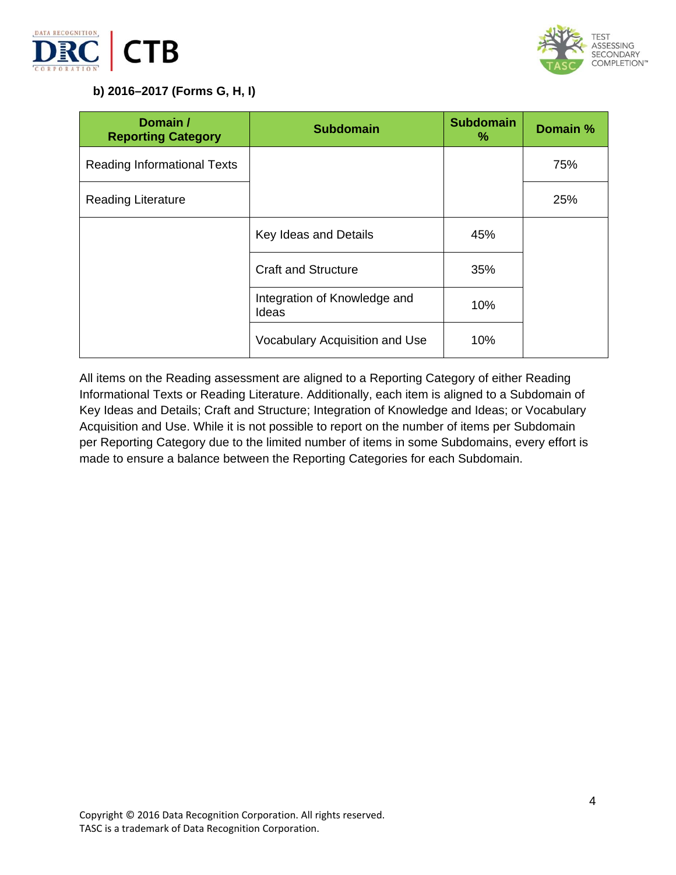



# **b) 2016–2017 (Forms G, H, I)**

| Domain /<br><b>Reporting Category</b> | <b>Subdomain</b>                      | <b>Subdomain</b><br>% | Domain % |
|---------------------------------------|---------------------------------------|-----------------------|----------|
| Reading Informational Texts           |                                       |                       | 75%      |
| <b>Reading Literature</b>             |                                       |                       | 25%      |
|                                       | Key Ideas and Details                 | 45%                   |          |
|                                       | <b>Craft and Structure</b>            | 35%                   |          |
|                                       | Integration of Knowledge and<br>Ideas | 10%                   |          |
|                                       | Vocabulary Acquisition and Use        | 10%                   |          |

All items on the Reading assessment are aligned to a Reporting Category of either Reading Informational Texts or Reading Literature. Additionally, each item is aligned to a Subdomain of Key Ideas and Details; Craft and Structure; Integration of Knowledge and Ideas; or Vocabulary Acquisition and Use. While it is not possible to report on the number of items per Subdomain per Reporting Category due to the limited number of items in some Subdomains, every effort is made to ensure a balance between the Reporting Categories for each Subdomain.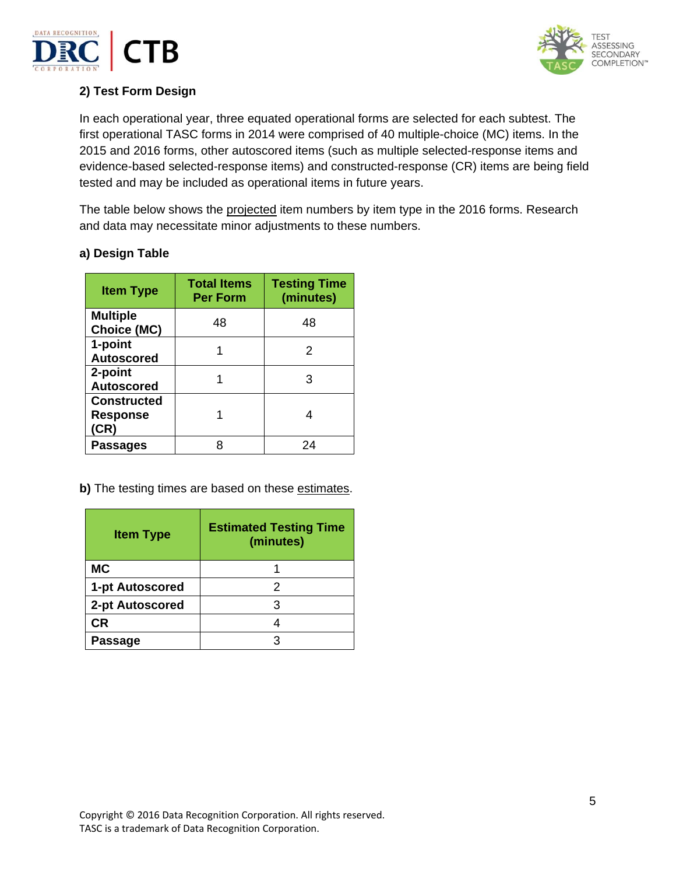



# **2) Test Form Design**

In each operational year, three equated operational forms are selected for each subtest. The first operational TASC forms in 2014 were comprised of 40 multiple-choice (MC) items. In the 2015 and 2016 forms, other autoscored items (such as multiple selected-response items and evidence-based selected-response items) and constructed-response (CR) items are being field tested and may be included as operational items in future years.

The table below shows the projected item numbers by item type in the 2016 forms. Research and data may necessitate minor adjustments to these numbers.

| <b>Item Type</b>                              | <b>Total Items</b><br><b>Per Form</b> | <b>Testing Time</b><br>(minutes) |
|-----------------------------------------------|---------------------------------------|----------------------------------|
| <b>Multiple</b><br><b>Choice (MC)</b>         | 48                                    | 48                               |
| 1-point<br><b>Autoscored</b>                  |                                       | 2                                |
| 2-point<br><b>Autoscored</b>                  |                                       | з                                |
| <b>Constructed</b><br><b>Response</b><br>(CR) |                                       |                                  |
| <b>Passages</b>                               |                                       | 24                               |

# **a) Design Table**

**b)** The testing times are based on these estimates.

| <b>Item Type</b> | <b>Estimated Testing Time</b><br>(minutes) |
|------------------|--------------------------------------------|
| <b>MC</b>        |                                            |
| 1-pt Autoscored  | 2                                          |
| 2-pt Autoscored  |                                            |
| СR               |                                            |
| Passage          |                                            |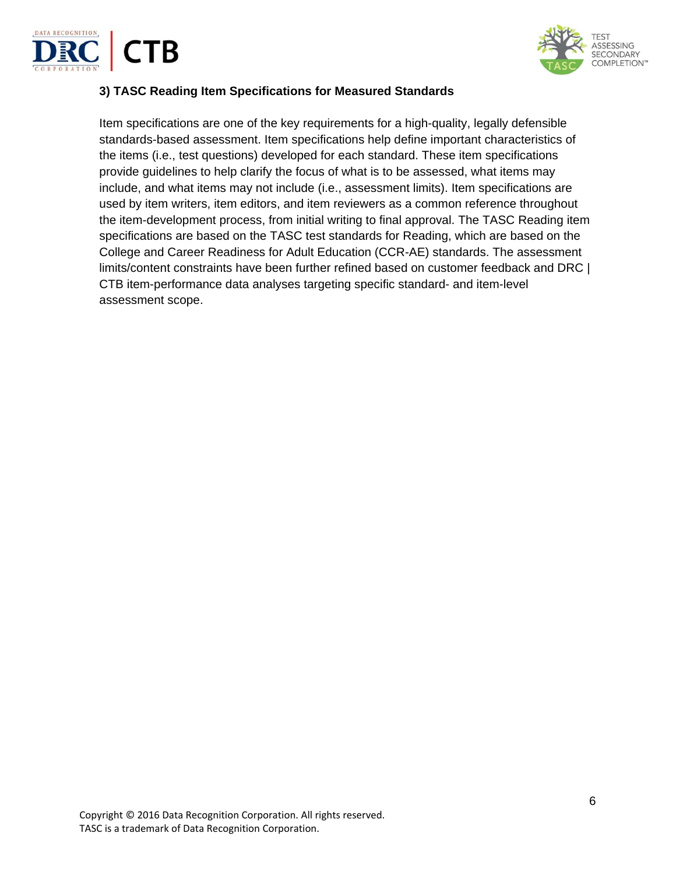



## **3) TASC Reading Item Specifications for Measured Standards**

Item specifications are one of the key requirements for a high-quality, legally defensible standards-based assessment. Item specifications help define important characteristics of the items (i.e., test questions) developed for each standard. These item specifications provide guidelines to help clarify the focus of what is to be assessed, what items may include, and what items may not include (i.e., assessment limits). Item specifications are used by item writers, item editors, and item reviewers as a common reference throughout the item-development process, from initial writing to final approval. The TASC Reading item specifications are based on the TASC test standards for Reading, which are based on the College and Career Readiness for Adult Education (CCR-AE) standards. The assessment limits/content constraints have been further refined based on customer feedback and DRC | CTB item-performance data analyses targeting specific standard- and item-level assessment scope.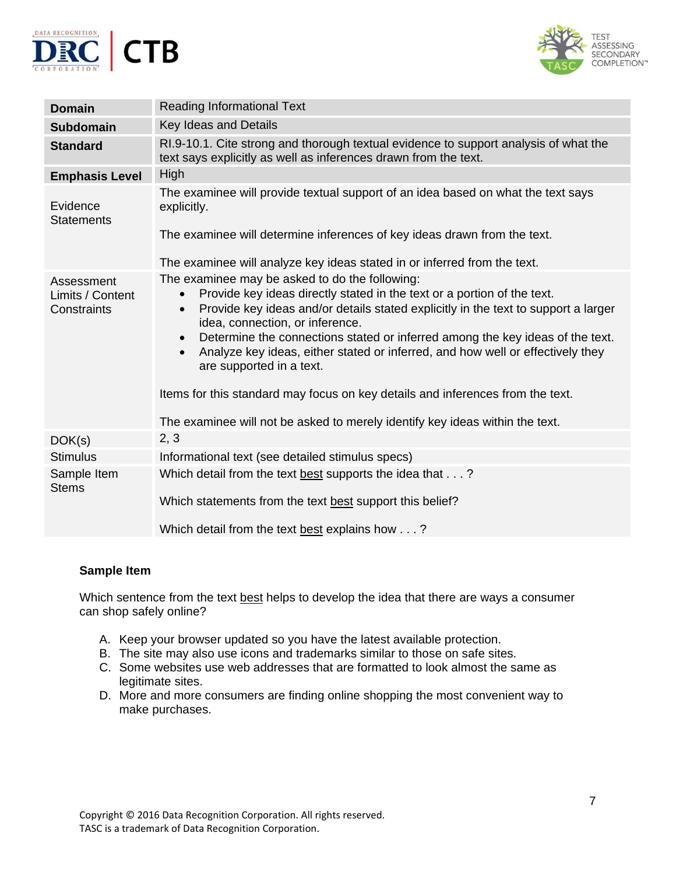



| <b>Domain</b>                                 | <b>Reading Informational Text</b>                                                                                                                                                                                                                                                                                                                                                                                                                                                                                                                                                                                                                                       |
|-----------------------------------------------|-------------------------------------------------------------------------------------------------------------------------------------------------------------------------------------------------------------------------------------------------------------------------------------------------------------------------------------------------------------------------------------------------------------------------------------------------------------------------------------------------------------------------------------------------------------------------------------------------------------------------------------------------------------------------|
| <b>Subdomain</b>                              | Key Ideas and Details                                                                                                                                                                                                                                                                                                                                                                                                                                                                                                                                                                                                                                                   |
| <b>Standard</b>                               | RI.9-10.1. Cite strong and thorough textual evidence to support analysis of what the<br>text says explicitly as well as inferences drawn from the text.                                                                                                                                                                                                                                                                                                                                                                                                                                                                                                                 |
| <b>Emphasis Level</b>                         | High                                                                                                                                                                                                                                                                                                                                                                                                                                                                                                                                                                                                                                                                    |
| Evidence<br><b>Statements</b>                 | The examinee will provide textual support of an idea based on what the text says<br>explicitly.                                                                                                                                                                                                                                                                                                                                                                                                                                                                                                                                                                         |
|                                               | The examinee will determine inferences of key ideas drawn from the text.                                                                                                                                                                                                                                                                                                                                                                                                                                                                                                                                                                                                |
|                                               | The examinee will analyze key ideas stated in or inferred from the text.                                                                                                                                                                                                                                                                                                                                                                                                                                                                                                                                                                                                |
| Assessment<br>Limits / Content<br>Constraints | The examinee may be asked to do the following:<br>Provide key ideas directly stated in the text or a portion of the text.<br>$\bullet$<br>Provide key ideas and/or details stated explicitly in the text to support a larger<br>$\bullet$<br>idea, connection, or inference.<br>Determine the connections stated or inferred among the key ideas of the text.<br>$\bullet$<br>Analyze key ideas, either stated or inferred, and how well or effectively they<br>$\bullet$<br>are supported in a text.<br>Items for this standard may focus on key details and inferences from the text.<br>The examinee will not be asked to merely identify key ideas within the text. |
| DOK(s)                                        | 2, 3                                                                                                                                                                                                                                                                                                                                                                                                                                                                                                                                                                                                                                                                    |
| <b>Stimulus</b>                               | Informational text (see detailed stimulus specs)                                                                                                                                                                                                                                                                                                                                                                                                                                                                                                                                                                                                                        |
| Sample Item<br><b>Stems</b>                   | Which detail from the text best supports the idea that?<br>Which statements from the text best support this belief?                                                                                                                                                                                                                                                                                                                                                                                                                                                                                                                                                     |
|                                               | Which detail from the text best explains how?                                                                                                                                                                                                                                                                                                                                                                                                                                                                                                                                                                                                                           |

Which sentence from the text best helps to develop the idea that there are ways a consumer can shop safely online?

- A. Keep your browser updated so you have the latest available protection.
- B. The site may also use icons and trademarks similar to those on safe sites.
- C. Some websites use web addresses that are formatted to look almost the same as legitimate sites.
- D. More and more consumers are finding online shopping the most convenient way to make purchases.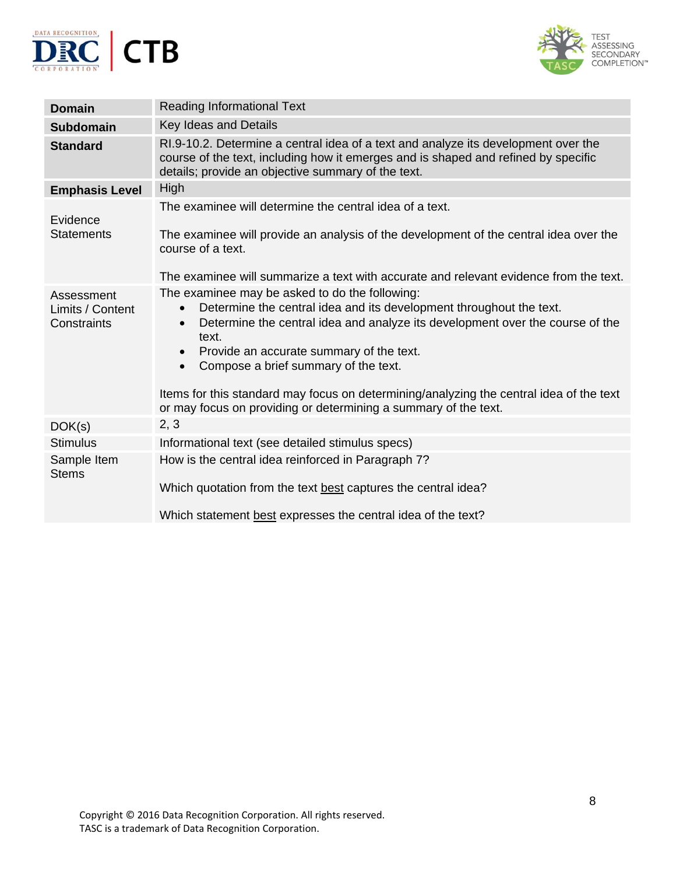



| <b>Domain</b>                                 | <b>Reading Informational Text</b>                                                                                                                                                                                                                                                                                                                                                                                                                                                                                     |
|-----------------------------------------------|-----------------------------------------------------------------------------------------------------------------------------------------------------------------------------------------------------------------------------------------------------------------------------------------------------------------------------------------------------------------------------------------------------------------------------------------------------------------------------------------------------------------------|
| <b>Subdomain</b>                              | <b>Key Ideas and Details</b>                                                                                                                                                                                                                                                                                                                                                                                                                                                                                          |
| <b>Standard</b>                               | RI.9-10.2. Determine a central idea of a text and analyze its development over the<br>course of the text, including how it emerges and is shaped and refined by specific<br>details; provide an objective summary of the text.                                                                                                                                                                                                                                                                                        |
| <b>Emphasis Level</b>                         | High                                                                                                                                                                                                                                                                                                                                                                                                                                                                                                                  |
| Evidence                                      | The examinee will determine the central idea of a text.                                                                                                                                                                                                                                                                                                                                                                                                                                                               |
| <b>Statements</b>                             | The examinee will provide an analysis of the development of the central idea over the<br>course of a text.                                                                                                                                                                                                                                                                                                                                                                                                            |
|                                               | The examinee will summarize a text with accurate and relevant evidence from the text.                                                                                                                                                                                                                                                                                                                                                                                                                                 |
| Assessment<br>Limits / Content<br>Constraints | The examinee may be asked to do the following:<br>Determine the central idea and its development throughout the text.<br>$\bullet$<br>Determine the central idea and analyze its development over the course of the<br>$\bullet$<br>text.<br>Provide an accurate summary of the text.<br>$\bullet$<br>Compose a brief summary of the text.<br>$\bullet$<br>Items for this standard may focus on determining/analyzing the central idea of the text<br>or may focus on providing or determining a summary of the text. |
| DOK(s)                                        | 2, 3                                                                                                                                                                                                                                                                                                                                                                                                                                                                                                                  |
| <b>Stimulus</b>                               | Informational text (see detailed stimulus specs)                                                                                                                                                                                                                                                                                                                                                                                                                                                                      |
| Sample Item<br><b>Stems</b>                   | How is the central idea reinforced in Paragraph 7?<br>Which quotation from the text best captures the central idea?<br>Which statement best expresses the central idea of the text?                                                                                                                                                                                                                                                                                                                                   |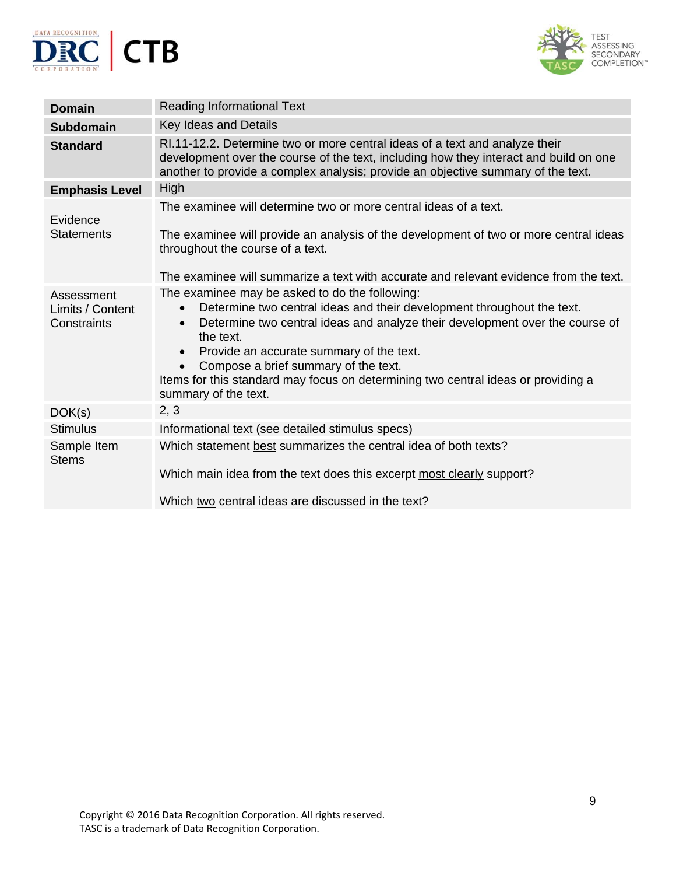



| <b>Domain</b>                                 | <b>Reading Informational Text</b>                                                                                                                                                                                                                                                                                                                                                                                                                             |
|-----------------------------------------------|---------------------------------------------------------------------------------------------------------------------------------------------------------------------------------------------------------------------------------------------------------------------------------------------------------------------------------------------------------------------------------------------------------------------------------------------------------------|
| <b>Subdomain</b>                              | Key Ideas and Details                                                                                                                                                                                                                                                                                                                                                                                                                                         |
| <b>Standard</b>                               | RI.11-12.2. Determine two or more central ideas of a text and analyze their<br>development over the course of the text, including how they interact and build on one<br>another to provide a complex analysis; provide an objective summary of the text.                                                                                                                                                                                                      |
| <b>Emphasis Level</b>                         | <b>High</b>                                                                                                                                                                                                                                                                                                                                                                                                                                                   |
| Evidence                                      | The examinee will determine two or more central ideas of a text.                                                                                                                                                                                                                                                                                                                                                                                              |
| <b>Statements</b>                             | The examinee will provide an analysis of the development of two or more central ideas<br>throughout the course of a text.                                                                                                                                                                                                                                                                                                                                     |
|                                               | The examinee will summarize a text with accurate and relevant evidence from the text.                                                                                                                                                                                                                                                                                                                                                                         |
| Assessment<br>Limits / Content<br>Constraints | The examinee may be asked to do the following:<br>Determine two central ideas and their development throughout the text.<br>$\bullet$<br>Determine two central ideas and analyze their development over the course of<br>$\bullet$<br>the text.<br>Provide an accurate summary of the text.<br>$\bullet$<br>Compose a brief summary of the text.<br>Items for this standard may focus on determining two central ideas or providing a<br>summary of the text. |
| DOK(s)                                        | 2, 3                                                                                                                                                                                                                                                                                                                                                                                                                                                          |
| <b>Stimulus</b>                               | Informational text (see detailed stimulus specs)                                                                                                                                                                                                                                                                                                                                                                                                              |
| Sample Item<br><b>Stems</b>                   | Which statement best summarizes the central idea of both texts?<br>Which main idea from the text does this excerpt most clearly support?<br>Which two central ideas are discussed in the text?                                                                                                                                                                                                                                                                |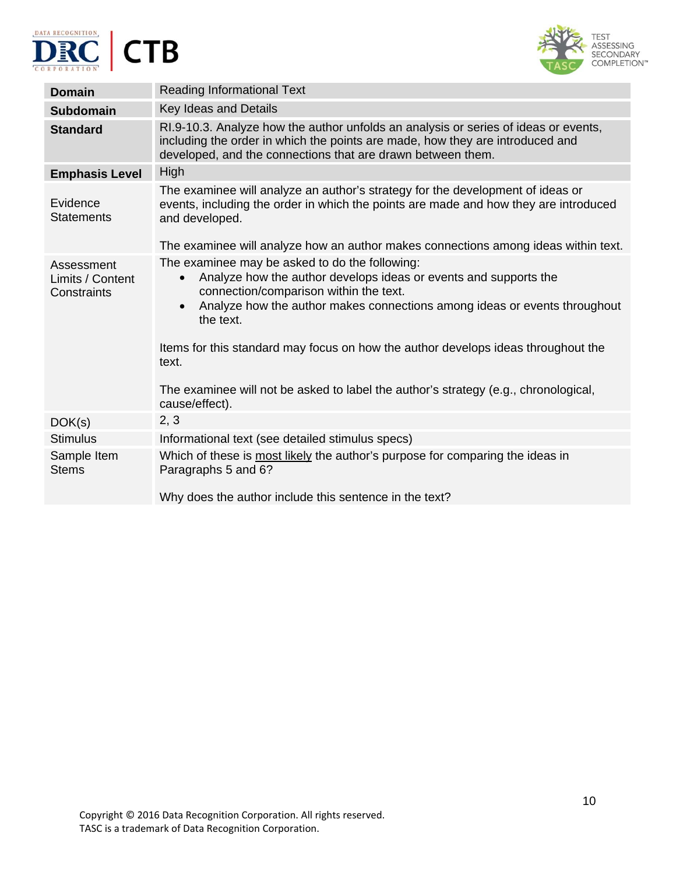





| <b>Domain</b>                                 | <b>Reading Informational Text</b>                                                                                                                                                                                                                                                                                                                                     |
|-----------------------------------------------|-----------------------------------------------------------------------------------------------------------------------------------------------------------------------------------------------------------------------------------------------------------------------------------------------------------------------------------------------------------------------|
| <b>Subdomain</b>                              | Key Ideas and Details                                                                                                                                                                                                                                                                                                                                                 |
| <b>Standard</b>                               | RI.9-10.3. Analyze how the author unfolds an analysis or series of ideas or events,<br>including the order in which the points are made, how they are introduced and<br>developed, and the connections that are drawn between them.                                                                                                                                   |
| <b>Emphasis Level</b>                         | <b>High</b>                                                                                                                                                                                                                                                                                                                                                           |
| Evidence<br><b>Statements</b>                 | The examinee will analyze an author's strategy for the development of ideas or<br>events, including the order in which the points are made and how they are introduced<br>and developed.                                                                                                                                                                              |
|                                               | The examinee will analyze how an author makes connections among ideas within text.                                                                                                                                                                                                                                                                                    |
| Assessment<br>Limits / Content<br>Constraints | The examinee may be asked to do the following:<br>Analyze how the author develops ideas or events and supports the<br>$\bullet$<br>connection/comparison within the text.<br>Analyze how the author makes connections among ideas or events throughout<br>$\bullet$<br>the text.<br>Items for this standard may focus on how the author develops ideas throughout the |
|                                               | text.                                                                                                                                                                                                                                                                                                                                                                 |
|                                               | The examinee will not be asked to label the author's strategy (e.g., chronological,<br>cause/effect).                                                                                                                                                                                                                                                                 |
| DOK(s)                                        | 2, 3                                                                                                                                                                                                                                                                                                                                                                  |
| <b>Stimulus</b>                               | Informational text (see detailed stimulus specs)                                                                                                                                                                                                                                                                                                                      |
| Sample Item<br><b>Stems</b>                   | Which of these is most likely the author's purpose for comparing the ideas in<br>Paragraphs 5 and 6?                                                                                                                                                                                                                                                                  |
|                                               | Why does the author include this sentence in the text?                                                                                                                                                                                                                                                                                                                |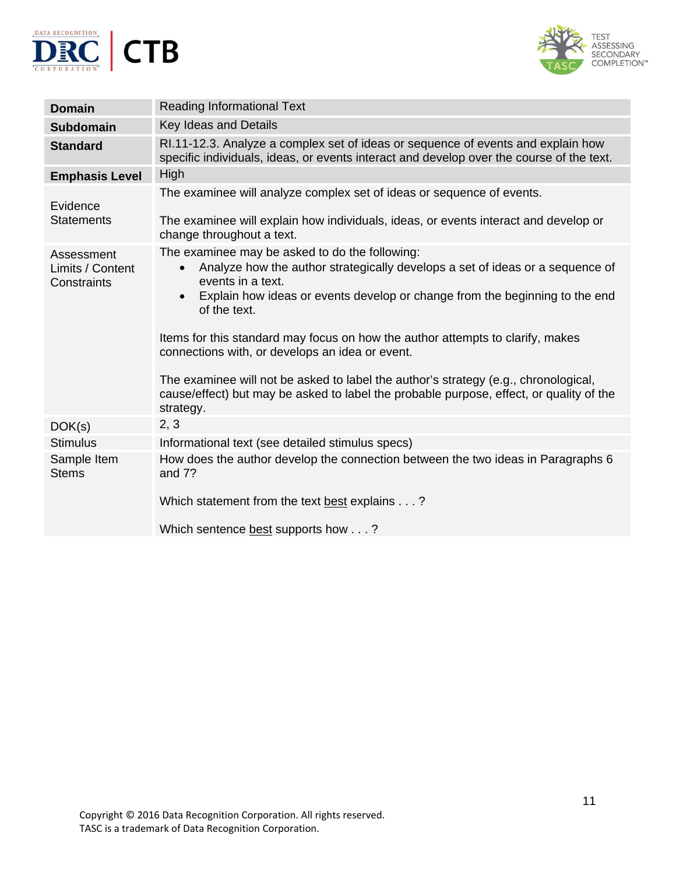



| <b>Domain</b>                                 | <b>Reading Informational Text</b>                                                                                                                                                                                                                                                                                                                                                                                                                                                                                                                                                                                 |
|-----------------------------------------------|-------------------------------------------------------------------------------------------------------------------------------------------------------------------------------------------------------------------------------------------------------------------------------------------------------------------------------------------------------------------------------------------------------------------------------------------------------------------------------------------------------------------------------------------------------------------------------------------------------------------|
| <b>Subdomain</b>                              | Key Ideas and Details                                                                                                                                                                                                                                                                                                                                                                                                                                                                                                                                                                                             |
| <b>Standard</b>                               | RI.11-12.3. Analyze a complex set of ideas or sequence of events and explain how<br>specific individuals, ideas, or events interact and develop over the course of the text.                                                                                                                                                                                                                                                                                                                                                                                                                                      |
| <b>Emphasis Level</b>                         | High                                                                                                                                                                                                                                                                                                                                                                                                                                                                                                                                                                                                              |
| Evidence<br><b>Statements</b>                 | The examinee will analyze complex set of ideas or sequence of events.<br>The examinee will explain how individuals, ideas, or events interact and develop or<br>change throughout a text.                                                                                                                                                                                                                                                                                                                                                                                                                         |
| Assessment<br>Limits / Content<br>Constraints | The examinee may be asked to do the following:<br>Analyze how the author strategically develops a set of ideas or a sequence of<br>$\bullet$<br>events in a text.<br>Explain how ideas or events develop or change from the beginning to the end<br>$\bullet$<br>of the text.<br>Items for this standard may focus on how the author attempts to clarify, makes<br>connections with, or develops an idea or event.<br>The examinee will not be asked to label the author's strategy (e.g., chronological,<br>cause/effect) but may be asked to label the probable purpose, effect, or quality of the<br>strategy. |
| DOK(s)                                        | 2, 3                                                                                                                                                                                                                                                                                                                                                                                                                                                                                                                                                                                                              |
| <b>Stimulus</b>                               | Informational text (see detailed stimulus specs)                                                                                                                                                                                                                                                                                                                                                                                                                                                                                                                                                                  |
| Sample Item<br><b>Stems</b>                   | How does the author develop the connection between the two ideas in Paragraphs 6<br>and 7?<br>Which statement from the text best explains ?                                                                                                                                                                                                                                                                                                                                                                                                                                                                       |
|                                               | Which sentence best supports how?                                                                                                                                                                                                                                                                                                                                                                                                                                                                                                                                                                                 |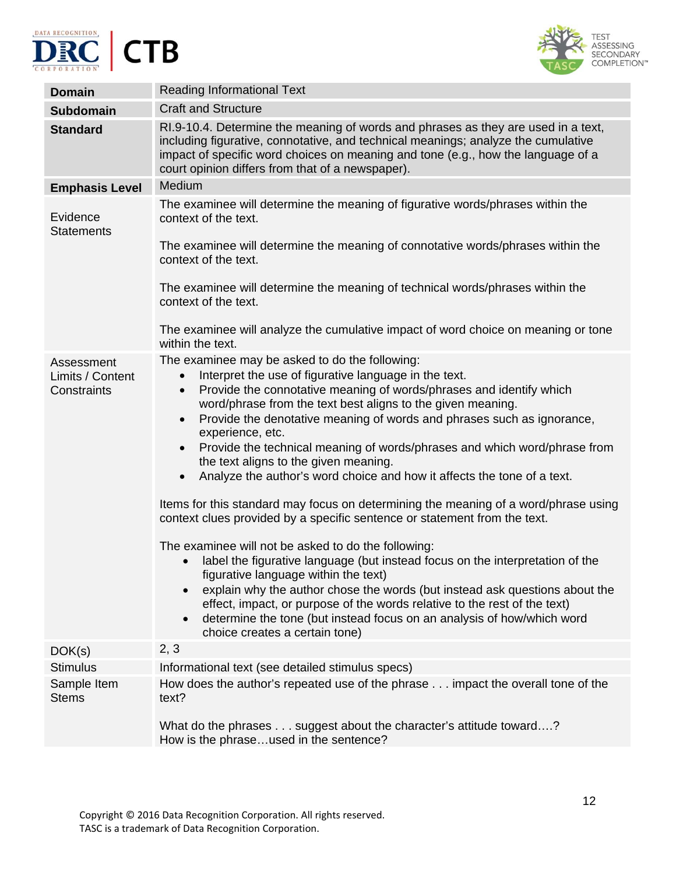





| <b>Domain</b>                   | <b>Reading Informational Text</b>                                                                                                                                                                                                                                                                              |
|---------------------------------|----------------------------------------------------------------------------------------------------------------------------------------------------------------------------------------------------------------------------------------------------------------------------------------------------------------|
| <b>Subdomain</b>                | <b>Craft and Structure</b>                                                                                                                                                                                                                                                                                     |
| <b>Standard</b>                 | RI.9-10.4. Determine the meaning of words and phrases as they are used in a text,<br>including figurative, connotative, and technical meanings; analyze the cumulative<br>impact of specific word choices on meaning and tone (e.g., how the language of a<br>court opinion differs from that of a newspaper). |
| <b>Emphasis Level</b>           | Medium                                                                                                                                                                                                                                                                                                         |
| Evidence<br><b>Statements</b>   | The examinee will determine the meaning of figurative words/phrases within the<br>context of the text.                                                                                                                                                                                                         |
|                                 | The examinee will determine the meaning of connotative words/phrases within the<br>context of the text.                                                                                                                                                                                                        |
|                                 | The examinee will determine the meaning of technical words/phrases within the<br>context of the text.                                                                                                                                                                                                          |
|                                 | The examinee will analyze the cumulative impact of word choice on meaning or tone<br>within the text.                                                                                                                                                                                                          |
| Assessment                      | The examinee may be asked to do the following:                                                                                                                                                                                                                                                                 |
| Limits / Content<br>Constraints | Interpret the use of figurative language in the text.<br>$\bullet$<br>Provide the connotative meaning of words/phrases and identify which<br>$\bullet$                                                                                                                                                         |
|                                 | word/phrase from the text best aligns to the given meaning.                                                                                                                                                                                                                                                    |
|                                 | Provide the denotative meaning of words and phrases such as ignorance,<br>$\bullet$                                                                                                                                                                                                                            |
|                                 | experience, etc.<br>Provide the technical meaning of words/phrases and which word/phrase from<br>$\bullet$                                                                                                                                                                                                     |
|                                 | the text aligns to the given meaning.                                                                                                                                                                                                                                                                          |
|                                 | Analyze the author's word choice and how it affects the tone of a text.<br>$\bullet$                                                                                                                                                                                                                           |
|                                 | Items for this standard may focus on determining the meaning of a word/phrase using<br>context clues provided by a specific sentence or statement from the text.                                                                                                                                               |
|                                 | The examinee will not be asked to do the following:                                                                                                                                                                                                                                                            |
|                                 | label the figurative language (but instead focus on the interpretation of the<br>$\bullet$                                                                                                                                                                                                                     |
|                                 | figurative language within the text)<br>explain why the author chose the words (but instead ask questions about the                                                                                                                                                                                            |
|                                 | effect, impact, or purpose of the words relative to the rest of the text)                                                                                                                                                                                                                                      |
|                                 | determine the tone (but instead focus on an analysis of how/which word<br>$\bullet$                                                                                                                                                                                                                            |
| DOK(s)                          | choice creates a certain tone)<br>2, 3                                                                                                                                                                                                                                                                         |
| <b>Stimulus</b>                 | Informational text (see detailed stimulus specs)                                                                                                                                                                                                                                                               |
| Sample Item                     | How does the author's repeated use of the phrase impact the overall tone of the                                                                                                                                                                                                                                |
| <b>Stems</b>                    | text?                                                                                                                                                                                                                                                                                                          |
|                                 | What do the phrases suggest about the character's attitude toward?<br>How is the phraseused in the sentence?                                                                                                                                                                                                   |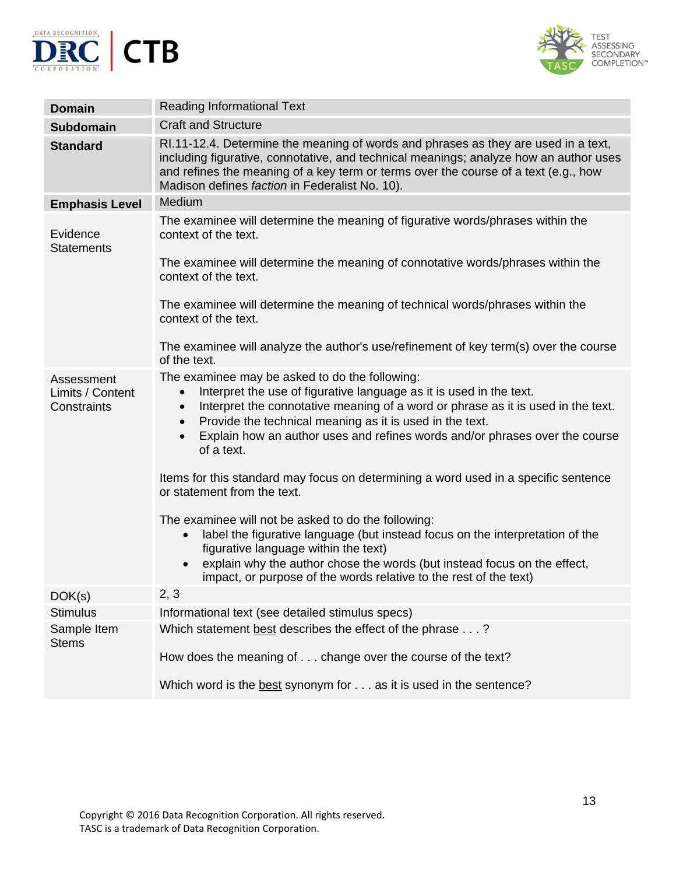



| <b>Domain</b>                                 | <b>Reading Informational Text</b>                                                                                                                                                                                                                                                                                                                                                                                                                                                                                                                                                                                                                                                                                                                                                                                                                                                          |
|-----------------------------------------------|--------------------------------------------------------------------------------------------------------------------------------------------------------------------------------------------------------------------------------------------------------------------------------------------------------------------------------------------------------------------------------------------------------------------------------------------------------------------------------------------------------------------------------------------------------------------------------------------------------------------------------------------------------------------------------------------------------------------------------------------------------------------------------------------------------------------------------------------------------------------------------------------|
| <b>Subdomain</b>                              | <b>Craft and Structure</b>                                                                                                                                                                                                                                                                                                                                                                                                                                                                                                                                                                                                                                                                                                                                                                                                                                                                 |
| <b>Standard</b>                               | RI.11-12.4. Determine the meaning of words and phrases as they are used in a text,<br>including figurative, connotative, and technical meanings; analyze how an author uses<br>and refines the meaning of a key term or terms over the course of a text (e.g., how<br>Madison defines faction in Federalist No. 10).                                                                                                                                                                                                                                                                                                                                                                                                                                                                                                                                                                       |
| <b>Emphasis Level</b>                         | Medium                                                                                                                                                                                                                                                                                                                                                                                                                                                                                                                                                                                                                                                                                                                                                                                                                                                                                     |
| Evidence<br><b>Statements</b>                 | The examinee will determine the meaning of figurative words/phrases within the<br>context of the text.<br>The examinee will determine the meaning of connotative words/phrases within the<br>context of the text.<br>The examinee will determine the meaning of technical words/phrases within the<br>context of the text.<br>The examinee will analyze the author's use/refinement of key term(s) over the course                                                                                                                                                                                                                                                                                                                                                                                                                                                                         |
|                                               | of the text.                                                                                                                                                                                                                                                                                                                                                                                                                                                                                                                                                                                                                                                                                                                                                                                                                                                                               |
| Assessment<br>Limits / Content<br>Constraints | The examinee may be asked to do the following:<br>Interpret the use of figurative language as it is used in the text.<br>$\bullet$<br>Interpret the connotative meaning of a word or phrase as it is used in the text.<br>$\bullet$<br>Provide the technical meaning as it is used in the text.<br>$\bullet$<br>Explain how an author uses and refines words and/or phrases over the course<br>$\bullet$<br>of a text.<br>Items for this standard may focus on determining a word used in a specific sentence<br>or statement from the text.<br>The examinee will not be asked to do the following:<br>label the figurative language (but instead focus on the interpretation of the<br>figurative language within the text)<br>explain why the author chose the words (but instead focus on the effect,<br>$\bullet$<br>impact, or purpose of the words relative to the rest of the text) |
| DOK(s)                                        | 2, 3                                                                                                                                                                                                                                                                                                                                                                                                                                                                                                                                                                                                                                                                                                                                                                                                                                                                                       |
| <b>Stimulus</b>                               | Informational text (see detailed stimulus specs)                                                                                                                                                                                                                                                                                                                                                                                                                                                                                                                                                                                                                                                                                                                                                                                                                                           |
| Sample Item<br><b>Stems</b>                   | Which statement best describes the effect of the phrase?<br>How does the meaning of change over the course of the text?<br>Which word is the best synonym for as it is used in the sentence?                                                                                                                                                                                                                                                                                                                                                                                                                                                                                                                                                                                                                                                                                               |
|                                               |                                                                                                                                                                                                                                                                                                                                                                                                                                                                                                                                                                                                                                                                                                                                                                                                                                                                                            |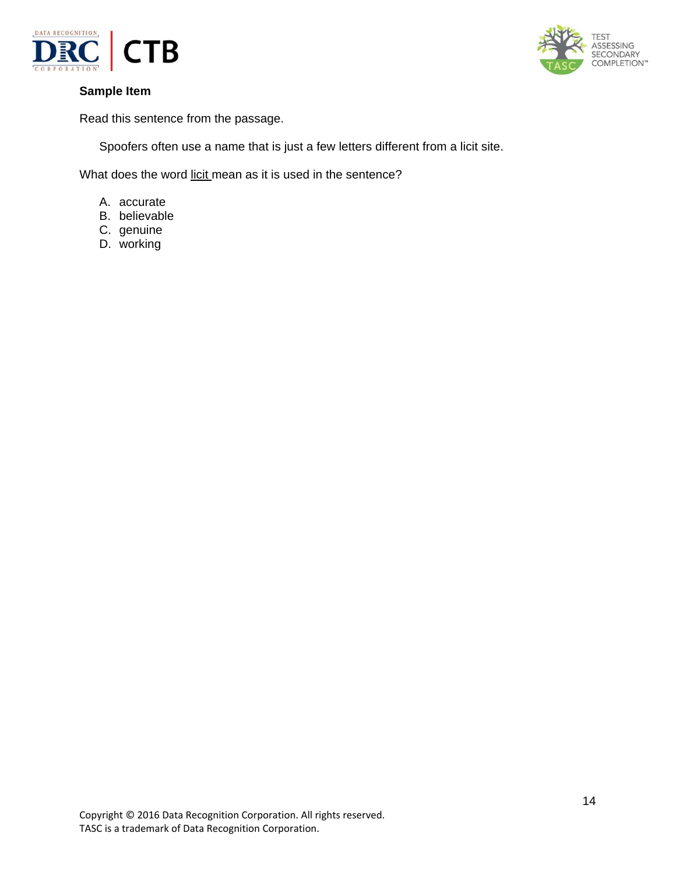



Read this sentence from the passage.

Spoofers often use a name that is just a few letters different from a licit site.

What does the word licit mean as it is used in the sentence?

- A. accurate
- B. believable
- C. genuine
- D. working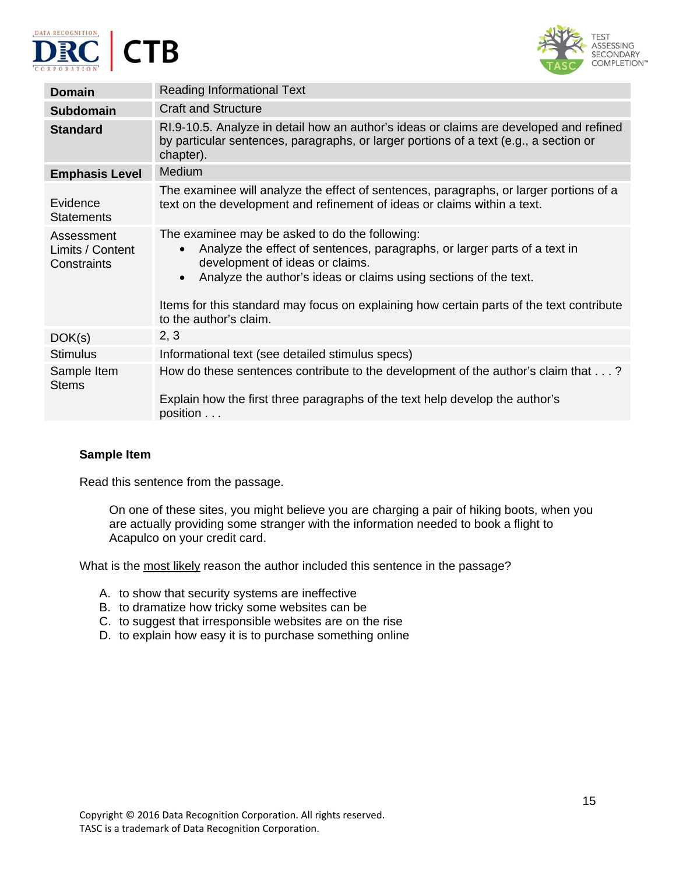





| <b>Domain</b>                                 | <b>Reading Informational Text</b>                                                                                                                                                                                                                                                                                                                                                  |
|-----------------------------------------------|------------------------------------------------------------------------------------------------------------------------------------------------------------------------------------------------------------------------------------------------------------------------------------------------------------------------------------------------------------------------------------|
| <b>Subdomain</b>                              | <b>Craft and Structure</b>                                                                                                                                                                                                                                                                                                                                                         |
| <b>Standard</b>                               | RI.9-10.5. Analyze in detail how an author's ideas or claims are developed and refined<br>by particular sentences, paragraphs, or larger portions of a text (e.g., a section or<br>chapter).                                                                                                                                                                                       |
| <b>Emphasis Level</b>                         | Medium                                                                                                                                                                                                                                                                                                                                                                             |
| Evidence<br><b>Statements</b>                 | The examinee will analyze the effect of sentences, paragraphs, or larger portions of a<br>text on the development and refinement of ideas or claims within a text.                                                                                                                                                                                                                 |
| Assessment<br>Limits / Content<br>Constraints | The examinee may be asked to do the following:<br>Analyze the effect of sentences, paragraphs, or larger parts of a text in<br>$\bullet$<br>development of ideas or claims.<br>Analyze the author's ideas or claims using sections of the text.<br>$\bullet$<br>Items for this standard may focus on explaining how certain parts of the text contribute<br>to the author's claim. |
| DOK(s)                                        | 2, 3                                                                                                                                                                                                                                                                                                                                                                               |
| <b>Stimulus</b>                               | Informational text (see detailed stimulus specs)                                                                                                                                                                                                                                                                                                                                   |
| Sample Item<br><b>Stems</b>                   | How do these sentences contribute to the development of the author's claim that?<br>Explain how the first three paragraphs of the text help develop the author's<br>position                                                                                                                                                                                                       |

Read this sentence from the passage.

On one of these sites, you might believe you are charging a pair of hiking boots, when you are actually providing some stranger with the information needed to book a flight to Acapulco on your credit card.

What is the most likely reason the author included this sentence in the passage?

- A. to show that security systems are ineffective
- B. to dramatize how tricky some websites can be
- C. to suggest that irresponsible websites are on the rise
- D. to explain how easy it is to purchase something online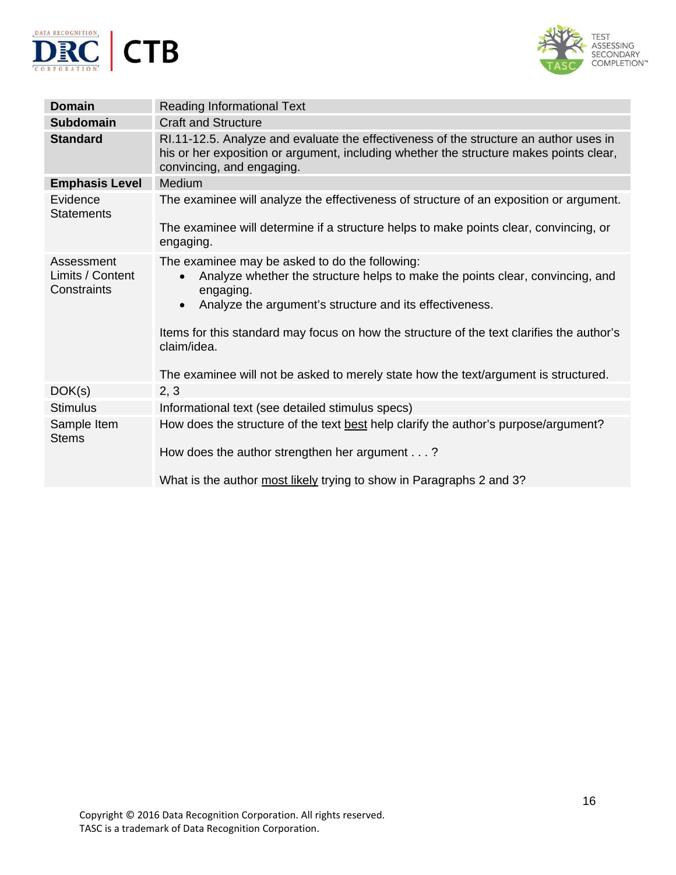



| <b>Domain</b>                                 | <b>Reading Informational Text</b>                                                                                                                                                                                                                                                                                                                                                                                                    |
|-----------------------------------------------|--------------------------------------------------------------------------------------------------------------------------------------------------------------------------------------------------------------------------------------------------------------------------------------------------------------------------------------------------------------------------------------------------------------------------------------|
| <b>Subdomain</b>                              | <b>Craft and Structure</b>                                                                                                                                                                                                                                                                                                                                                                                                           |
| <b>Standard</b>                               | RI.11-12.5. Analyze and evaluate the effectiveness of the structure an author uses in<br>his or her exposition or argument, including whether the structure makes points clear,<br>convincing, and engaging.                                                                                                                                                                                                                         |
| <b>Emphasis Level</b>                         | Medium                                                                                                                                                                                                                                                                                                                                                                                                                               |
| Evidence<br><b>Statements</b>                 | The examinee will analyze the effectiveness of structure of an exposition or argument.                                                                                                                                                                                                                                                                                                                                               |
|                                               | The examinee will determine if a structure helps to make points clear, convincing, or<br>engaging.                                                                                                                                                                                                                                                                                                                                   |
| Assessment<br>Limits / Content<br>Constraints | The examinee may be asked to do the following:<br>Analyze whether the structure helps to make the points clear, convincing, and<br>$\bullet$<br>engaging.<br>Analyze the argument's structure and its effectiveness.<br>$\bullet$<br>Items for this standard may focus on how the structure of the text clarifies the author's<br>claim/idea.<br>The examinee will not be asked to merely state how the text/argument is structured. |
| DOK(s)                                        | 2, 3                                                                                                                                                                                                                                                                                                                                                                                                                                 |
| <b>Stimulus</b>                               | Informational text (see detailed stimulus specs)                                                                                                                                                                                                                                                                                                                                                                                     |
| Sample Item<br><b>Stems</b>                   | How does the structure of the text best help clarify the author's purpose/argument?<br>How does the author strengthen her argument?                                                                                                                                                                                                                                                                                                  |
|                                               | What is the author most likely trying to show in Paragraphs 2 and 3?                                                                                                                                                                                                                                                                                                                                                                 |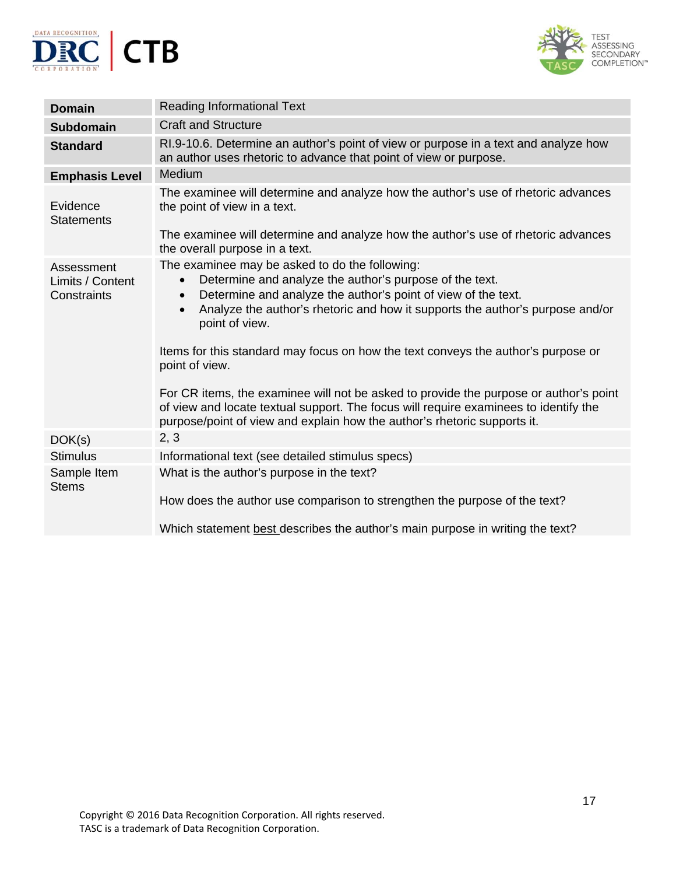



| <b>Domain</b>                                 | <b>Reading Informational Text</b>                                                                                                                                                                                                                                                                                                                                                                                                                                                                                                                                                                                                                                                        |
|-----------------------------------------------|------------------------------------------------------------------------------------------------------------------------------------------------------------------------------------------------------------------------------------------------------------------------------------------------------------------------------------------------------------------------------------------------------------------------------------------------------------------------------------------------------------------------------------------------------------------------------------------------------------------------------------------------------------------------------------------|
| <b>Subdomain</b>                              | <b>Craft and Structure</b>                                                                                                                                                                                                                                                                                                                                                                                                                                                                                                                                                                                                                                                               |
| <b>Standard</b>                               | RI.9-10.6. Determine an author's point of view or purpose in a text and analyze how<br>an author uses rhetoric to advance that point of view or purpose.                                                                                                                                                                                                                                                                                                                                                                                                                                                                                                                                 |
| <b>Emphasis Level</b>                         | Medium                                                                                                                                                                                                                                                                                                                                                                                                                                                                                                                                                                                                                                                                                   |
| Evidence<br><b>Statements</b>                 | The examinee will determine and analyze how the author's use of rhetoric advances<br>the point of view in a text.                                                                                                                                                                                                                                                                                                                                                                                                                                                                                                                                                                        |
|                                               | The examinee will determine and analyze how the author's use of rhetoric advances<br>the overall purpose in a text.                                                                                                                                                                                                                                                                                                                                                                                                                                                                                                                                                                      |
| Assessment<br>Limits / Content<br>Constraints | The examinee may be asked to do the following:<br>Determine and analyze the author's purpose of the text.<br>$\bullet$<br>Determine and analyze the author's point of view of the text.<br>$\bullet$<br>Analyze the author's rhetoric and how it supports the author's purpose and/or<br>$\bullet$<br>point of view.<br>Items for this standard may focus on how the text conveys the author's purpose or<br>point of view.<br>For CR items, the examinee will not be asked to provide the purpose or author's point<br>of view and locate textual support. The focus will require examinees to identify the<br>purpose/point of view and explain how the author's rhetoric supports it. |
| DOK(s)                                        | 2, 3                                                                                                                                                                                                                                                                                                                                                                                                                                                                                                                                                                                                                                                                                     |
| <b>Stimulus</b>                               | Informational text (see detailed stimulus specs)                                                                                                                                                                                                                                                                                                                                                                                                                                                                                                                                                                                                                                         |
| Sample Item<br><b>Stems</b>                   | What is the author's purpose in the text?                                                                                                                                                                                                                                                                                                                                                                                                                                                                                                                                                                                                                                                |
|                                               | How does the author use comparison to strengthen the purpose of the text?                                                                                                                                                                                                                                                                                                                                                                                                                                                                                                                                                                                                                |
|                                               | Which statement best describes the author's main purpose in writing the text?                                                                                                                                                                                                                                                                                                                                                                                                                                                                                                                                                                                                            |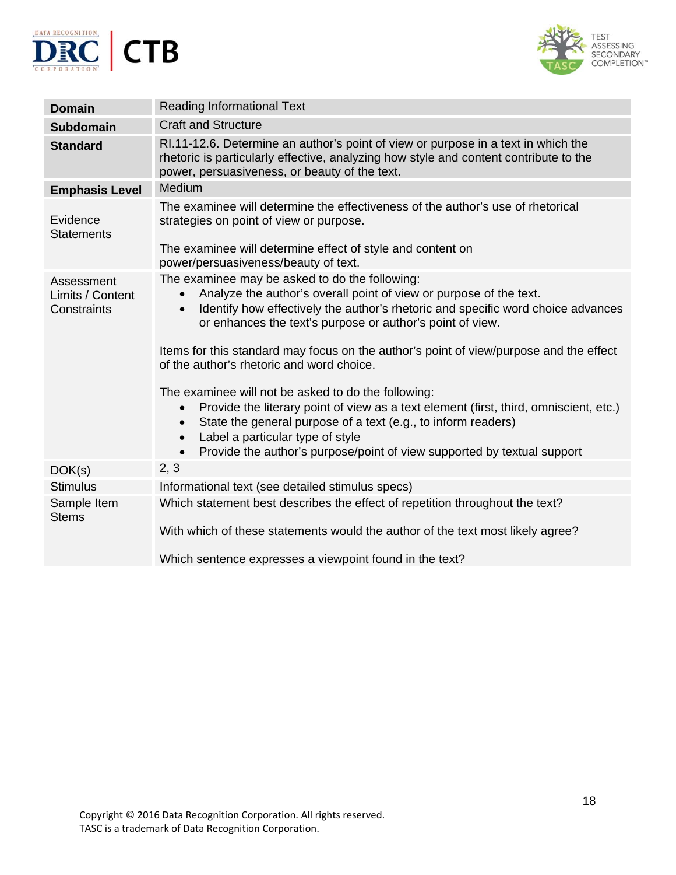



| <b>Domain</b>                                 | <b>Reading Informational Text</b>                                                                                                                                                                                                                                                                                                                                                |
|-----------------------------------------------|----------------------------------------------------------------------------------------------------------------------------------------------------------------------------------------------------------------------------------------------------------------------------------------------------------------------------------------------------------------------------------|
| <b>Subdomain</b>                              | <b>Craft and Structure</b>                                                                                                                                                                                                                                                                                                                                                       |
| <b>Standard</b>                               | RI.11-12.6. Determine an author's point of view or purpose in a text in which the<br>rhetoric is particularly effective, analyzing how style and content contribute to the<br>power, persuasiveness, or beauty of the text.                                                                                                                                                      |
| <b>Emphasis Level</b>                         | Medium                                                                                                                                                                                                                                                                                                                                                                           |
| Evidence<br><b>Statements</b>                 | The examinee will determine the effectiveness of the author's use of rhetorical<br>strategies on point of view or purpose.<br>The examinee will determine effect of style and content on                                                                                                                                                                                         |
|                                               | power/persuasiveness/beauty of text.                                                                                                                                                                                                                                                                                                                                             |
| Assessment<br>Limits / Content<br>Constraints | The examinee may be asked to do the following:<br>Analyze the author's overall point of view or purpose of the text.<br>$\bullet$<br>Identify how effectively the author's rhetoric and specific word choice advances<br>$\bullet$<br>or enhances the text's purpose or author's point of view.                                                                                  |
|                                               | Items for this standard may focus on the author's point of view/purpose and the effect<br>of the author's rhetoric and word choice.                                                                                                                                                                                                                                              |
|                                               | The examinee will not be asked to do the following:<br>Provide the literary point of view as a text element (first, third, omniscient, etc.)<br>$\bullet$<br>State the general purpose of a text (e.g., to inform readers)<br>$\bullet$<br>Label a particular type of style<br>$\bullet$<br>Provide the author's purpose/point of view supported by textual support<br>$\bullet$ |
| DOK(s)                                        | 2, 3                                                                                                                                                                                                                                                                                                                                                                             |
| <b>Stimulus</b>                               | Informational text (see detailed stimulus specs)                                                                                                                                                                                                                                                                                                                                 |
| Sample Item<br><b>Stems</b>                   | Which statement best describes the effect of repetition throughout the text?                                                                                                                                                                                                                                                                                                     |
|                                               | With which of these statements would the author of the text most likely agree?                                                                                                                                                                                                                                                                                                   |
|                                               | Which sentence expresses a viewpoint found in the text?                                                                                                                                                                                                                                                                                                                          |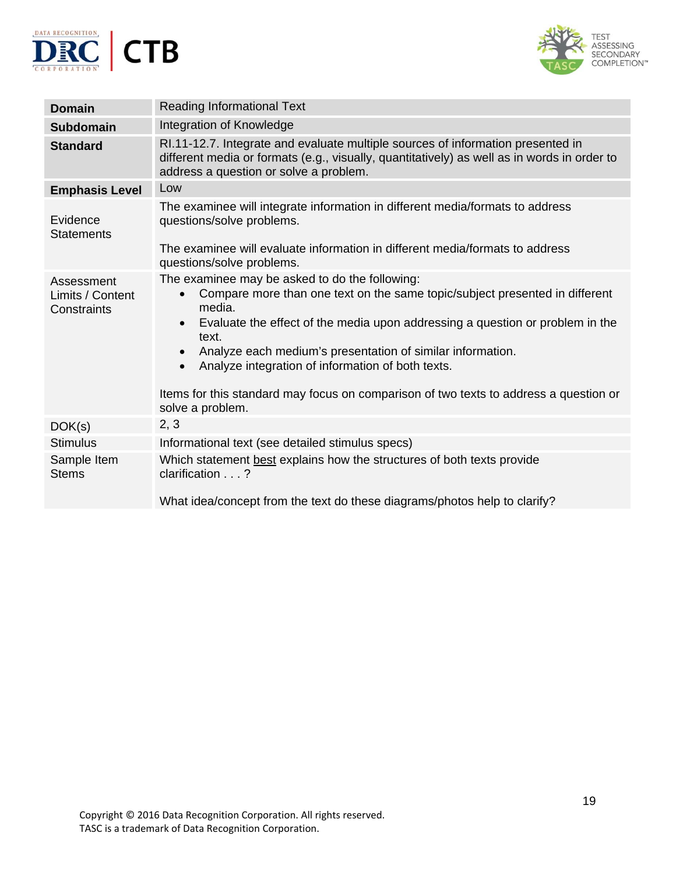



| <b>Domain</b>                                 | <b>Reading Informational Text</b>                                                                                                                                                                                                                                                                                                                                                                                                                                                                                     |
|-----------------------------------------------|-----------------------------------------------------------------------------------------------------------------------------------------------------------------------------------------------------------------------------------------------------------------------------------------------------------------------------------------------------------------------------------------------------------------------------------------------------------------------------------------------------------------------|
| <b>Subdomain</b>                              | Integration of Knowledge                                                                                                                                                                                                                                                                                                                                                                                                                                                                                              |
| <b>Standard</b>                               | RI.11-12.7. Integrate and evaluate multiple sources of information presented in<br>different media or formats (e.g., visually, quantitatively) as well as in words in order to<br>address a question or solve a problem.                                                                                                                                                                                                                                                                                              |
| <b>Emphasis Level</b>                         | Low                                                                                                                                                                                                                                                                                                                                                                                                                                                                                                                   |
| Evidence<br><b>Statements</b>                 | The examinee will integrate information in different media/formats to address<br>questions/solve problems.<br>The examinee will evaluate information in different media/formats to address                                                                                                                                                                                                                                                                                                                            |
|                                               | questions/solve problems.                                                                                                                                                                                                                                                                                                                                                                                                                                                                                             |
| Assessment<br>Limits / Content<br>Constraints | The examinee may be asked to do the following:<br>Compare more than one text on the same topic/subject presented in different<br>$\bullet$<br>media.<br>Evaluate the effect of the media upon addressing a question or problem in the<br>$\bullet$<br>text.<br>Analyze each medium's presentation of similar information.<br>$\bullet$<br>Analyze integration of information of both texts.<br>$\bullet$<br>Items for this standard may focus on comparison of two texts to address a question or<br>solve a problem. |
| DOK(s)                                        | 2, 3                                                                                                                                                                                                                                                                                                                                                                                                                                                                                                                  |
| <b>Stimulus</b>                               | Informational text (see detailed stimulus specs)                                                                                                                                                                                                                                                                                                                                                                                                                                                                      |
| Sample Item<br><b>Stems</b>                   | Which statement best explains how the structures of both texts provide<br>clarification $\ldots$ ?<br>What idea/concept from the text do these diagrams/photos help to clarify?                                                                                                                                                                                                                                                                                                                                       |
|                                               |                                                                                                                                                                                                                                                                                                                                                                                                                                                                                                                       |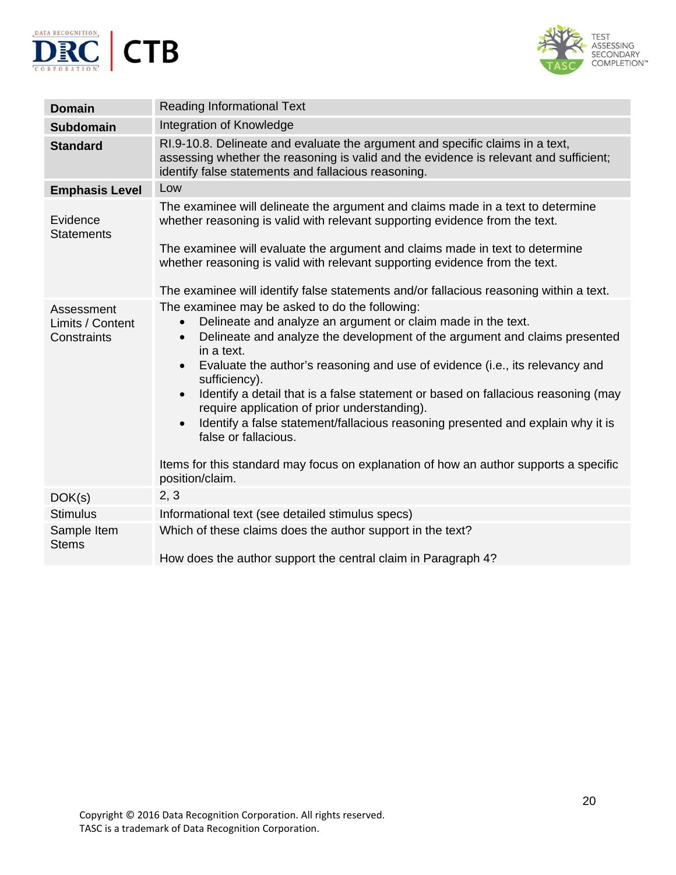



| <b>Domain</b>                                 | <b>Reading Informational Text</b>                                                                                                                                                                                                                                                                                                                                                                                                                                                                                                                                                                                                                                                                                                        |
|-----------------------------------------------|------------------------------------------------------------------------------------------------------------------------------------------------------------------------------------------------------------------------------------------------------------------------------------------------------------------------------------------------------------------------------------------------------------------------------------------------------------------------------------------------------------------------------------------------------------------------------------------------------------------------------------------------------------------------------------------------------------------------------------------|
| <b>Subdomain</b>                              | Integration of Knowledge                                                                                                                                                                                                                                                                                                                                                                                                                                                                                                                                                                                                                                                                                                                 |
| <b>Standard</b>                               | RI.9-10.8. Delineate and evaluate the argument and specific claims in a text,<br>assessing whether the reasoning is valid and the evidence is relevant and sufficient;<br>identify false statements and fallacious reasoning.                                                                                                                                                                                                                                                                                                                                                                                                                                                                                                            |
| <b>Emphasis Level</b>                         | Low                                                                                                                                                                                                                                                                                                                                                                                                                                                                                                                                                                                                                                                                                                                                      |
| Evidence<br><b>Statements</b>                 | The examinee will delineate the argument and claims made in a text to determine<br>whether reasoning is valid with relevant supporting evidence from the text.                                                                                                                                                                                                                                                                                                                                                                                                                                                                                                                                                                           |
|                                               | The examinee will evaluate the argument and claims made in text to determine<br>whether reasoning is valid with relevant supporting evidence from the text.                                                                                                                                                                                                                                                                                                                                                                                                                                                                                                                                                                              |
|                                               | The examinee will identify false statements and/or fallacious reasoning within a text.                                                                                                                                                                                                                                                                                                                                                                                                                                                                                                                                                                                                                                                   |
| Assessment<br>Limits / Content<br>Constraints | The examinee may be asked to do the following:<br>Delineate and analyze an argument or claim made in the text.<br>$\bullet$<br>Delineate and analyze the development of the argument and claims presented<br>$\bullet$<br>in a text.<br>Evaluate the author's reasoning and use of evidence (i.e., its relevancy and<br>$\bullet$<br>sufficiency).<br>Identify a detail that is a false statement or based on fallacious reasoning (may<br>$\bullet$<br>require application of prior understanding).<br>Identify a false statement/fallacious reasoning presented and explain why it is<br>$\bullet$<br>false or fallacious.<br>Items for this standard may focus on explanation of how an author supports a specific<br>position/claim. |
| DOK(s)                                        | 2, 3                                                                                                                                                                                                                                                                                                                                                                                                                                                                                                                                                                                                                                                                                                                                     |
| <b>Stimulus</b>                               | Informational text (see detailed stimulus specs)                                                                                                                                                                                                                                                                                                                                                                                                                                                                                                                                                                                                                                                                                         |
| Sample Item<br><b>Stems</b>                   | Which of these claims does the author support in the text?<br>How does the author support the central claim in Paragraph 4?                                                                                                                                                                                                                                                                                                                                                                                                                                                                                                                                                                                                              |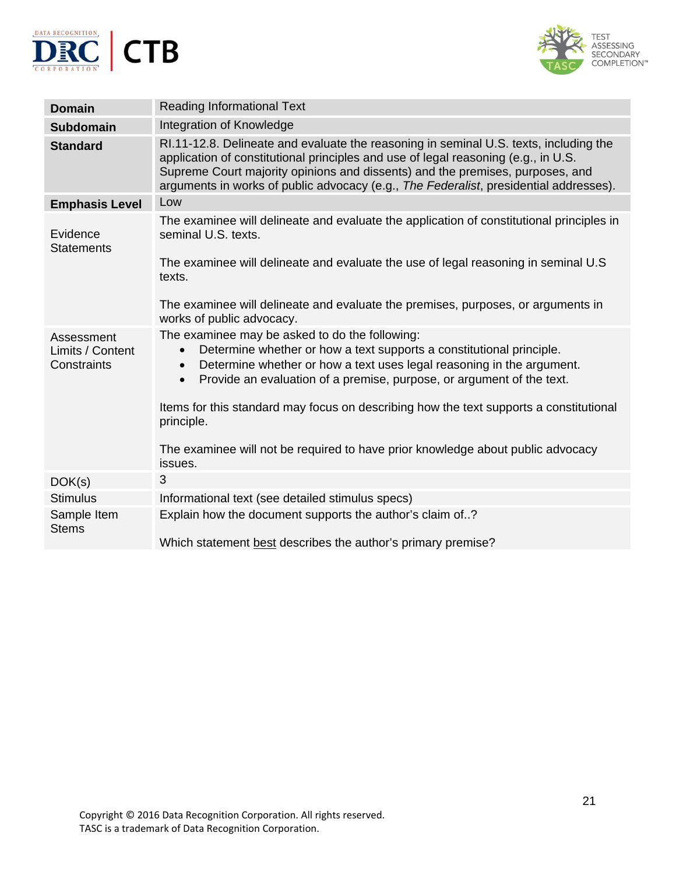



| <b>Domain</b>                                 | <b>Reading Informational Text</b>                                                                                                                                                                                                                                                                                                                     |
|-----------------------------------------------|-------------------------------------------------------------------------------------------------------------------------------------------------------------------------------------------------------------------------------------------------------------------------------------------------------------------------------------------------------|
| <b>Subdomain</b>                              | Integration of Knowledge                                                                                                                                                                                                                                                                                                                              |
| <b>Standard</b>                               | RI.11-12.8. Delineate and evaluate the reasoning in seminal U.S. texts, including the<br>application of constitutional principles and use of legal reasoning (e.g., in U.S.<br>Supreme Court majority opinions and dissents) and the premises, purposes, and<br>arguments in works of public advocacy (e.g., The Federalist, presidential addresses). |
| <b>Emphasis Level</b>                         | Low                                                                                                                                                                                                                                                                                                                                                   |
| Evidence<br><b>Statements</b>                 | The examinee will delineate and evaluate the application of constitutional principles in<br>seminal U.S. texts.                                                                                                                                                                                                                                       |
|                                               | The examinee will delineate and evaluate the use of legal reasoning in seminal U.S<br>texts.                                                                                                                                                                                                                                                          |
|                                               | The examinee will delineate and evaluate the premises, purposes, or arguments in<br>works of public advocacy.                                                                                                                                                                                                                                         |
| Assessment<br>Limits / Content<br>Constraints | The examinee may be asked to do the following:<br>Determine whether or how a text supports a constitutional principle.<br>$\bullet$<br>Determine whether or how a text uses legal reasoning in the argument.<br>$\bullet$<br>Provide an evaluation of a premise, purpose, or argument of the text.<br>$\bullet$                                       |
|                                               | Items for this standard may focus on describing how the text supports a constitutional<br>principle.                                                                                                                                                                                                                                                  |
|                                               | The examinee will not be required to have prior knowledge about public advocacy<br>issues.                                                                                                                                                                                                                                                            |
| DOK(s)                                        | 3                                                                                                                                                                                                                                                                                                                                                     |
| <b>Stimulus</b>                               | Informational text (see detailed stimulus specs)                                                                                                                                                                                                                                                                                                      |
| Sample Item<br><b>Stems</b>                   | Explain how the document supports the author's claim of?                                                                                                                                                                                                                                                                                              |
|                                               | Which statement best describes the author's primary premise?                                                                                                                                                                                                                                                                                          |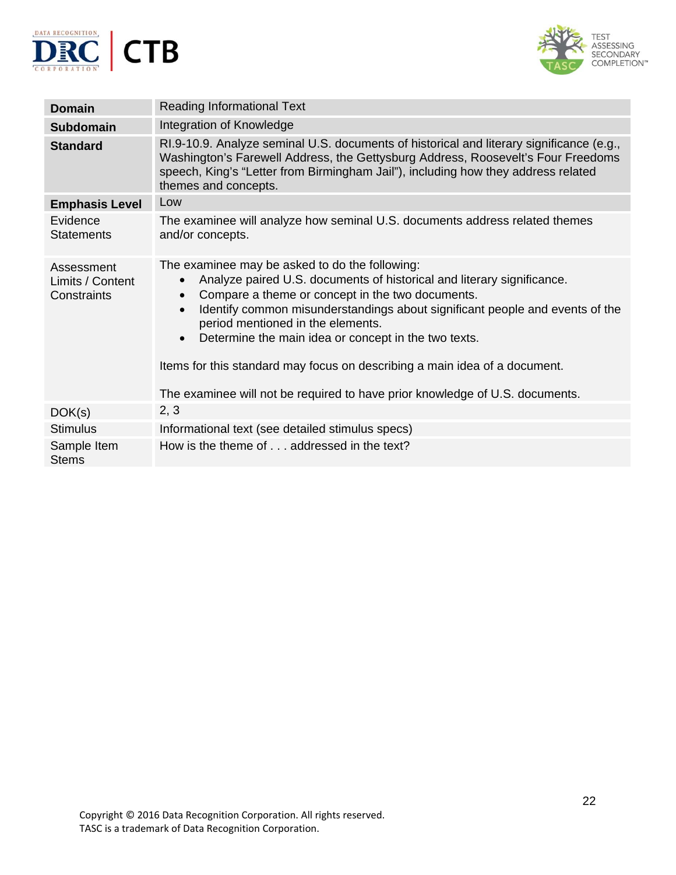



| <b>Domain</b>                                 | <b>Reading Informational Text</b>                                                                                                                                                                                                                                                                                                                                                                                                                                                                                                                                           |
|-----------------------------------------------|-----------------------------------------------------------------------------------------------------------------------------------------------------------------------------------------------------------------------------------------------------------------------------------------------------------------------------------------------------------------------------------------------------------------------------------------------------------------------------------------------------------------------------------------------------------------------------|
| <b>Subdomain</b>                              | Integration of Knowledge                                                                                                                                                                                                                                                                                                                                                                                                                                                                                                                                                    |
| <b>Standard</b>                               | RI.9-10.9. Analyze seminal U.S. documents of historical and literary significance (e.g.,<br>Washington's Farewell Address, the Gettysburg Address, Roosevelt's Four Freedoms<br>speech, King's "Letter from Birmingham Jail"), including how they address related<br>themes and concepts.                                                                                                                                                                                                                                                                                   |
| <b>Emphasis Level</b>                         | Low                                                                                                                                                                                                                                                                                                                                                                                                                                                                                                                                                                         |
| Evidence<br><b>Statements</b>                 | The examinee will analyze how seminal U.S. documents address related themes<br>and/or concepts.                                                                                                                                                                                                                                                                                                                                                                                                                                                                             |
| Assessment<br>Limits / Content<br>Constraints | The examinee may be asked to do the following:<br>Analyze paired U.S. documents of historical and literary significance.<br>$\bullet$<br>Compare a theme or concept in the two documents.<br>$\bullet$<br>Identify common misunderstandings about significant people and events of the<br>$\bullet$<br>period mentioned in the elements.<br>Determine the main idea or concept in the two texts.<br>$\bullet$<br>Items for this standard may focus on describing a main idea of a document.<br>The examinee will not be required to have prior knowledge of U.S. documents. |
| DOK(s)                                        | 2, 3                                                                                                                                                                                                                                                                                                                                                                                                                                                                                                                                                                        |
| <b>Stimulus</b>                               | Informational text (see detailed stimulus specs)                                                                                                                                                                                                                                                                                                                                                                                                                                                                                                                            |
| Sample Item<br><b>Stems</b>                   | How is the theme of addressed in the text?                                                                                                                                                                                                                                                                                                                                                                                                                                                                                                                                  |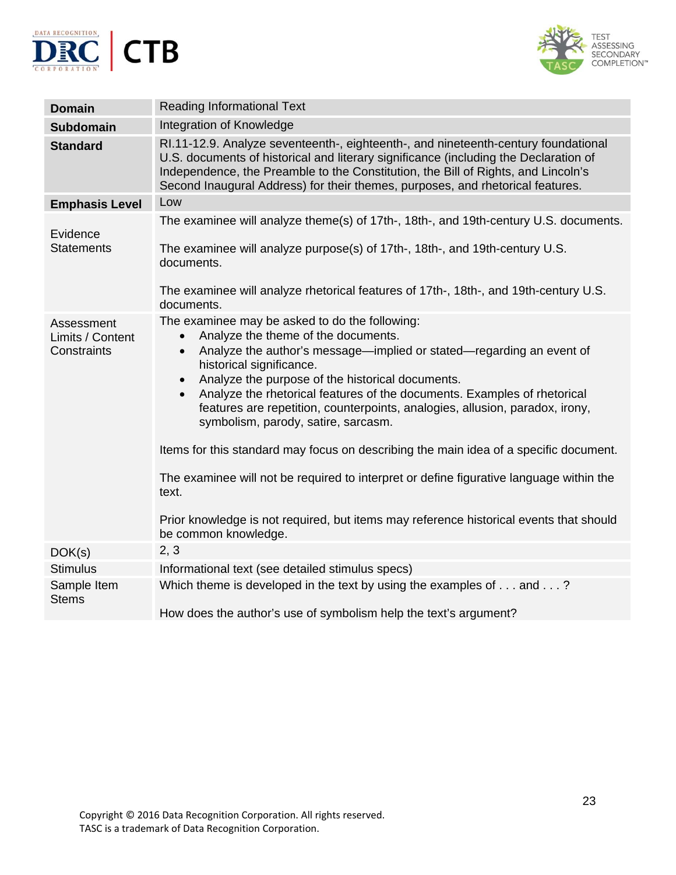



| <b>Domain</b>                                 | <b>Reading Informational Text</b>                                                                                                                                                                                                                                                                                                                                                                                                                                                                                                                                                                                                                                                                                                                                                                                   |
|-----------------------------------------------|---------------------------------------------------------------------------------------------------------------------------------------------------------------------------------------------------------------------------------------------------------------------------------------------------------------------------------------------------------------------------------------------------------------------------------------------------------------------------------------------------------------------------------------------------------------------------------------------------------------------------------------------------------------------------------------------------------------------------------------------------------------------------------------------------------------------|
| <b>Subdomain</b>                              | Integration of Knowledge                                                                                                                                                                                                                                                                                                                                                                                                                                                                                                                                                                                                                                                                                                                                                                                            |
| <b>Standard</b>                               | RI.11-12.9. Analyze seventeenth-, eighteenth-, and nineteenth-century foundational<br>U.S. documents of historical and literary significance (including the Declaration of<br>Independence, the Preamble to the Constitution, the Bill of Rights, and Lincoln's<br>Second Inaugural Address) for their themes, purposes, and rhetorical features.                                                                                                                                                                                                                                                                                                                                                                                                                                                                   |
| <b>Emphasis Level</b>                         | Low                                                                                                                                                                                                                                                                                                                                                                                                                                                                                                                                                                                                                                                                                                                                                                                                                 |
| Evidence<br><b>Statements</b>                 | The examinee will analyze theme(s) of 17th-, 18th-, and 19th-century U.S. documents.<br>The examinee will analyze purpose(s) of 17th-, 18th-, and 19th-century U.S.<br>documents.                                                                                                                                                                                                                                                                                                                                                                                                                                                                                                                                                                                                                                   |
|                                               | The examinee will analyze rhetorical features of 17th-, 18th-, and 19th-century U.S.<br>documents.                                                                                                                                                                                                                                                                                                                                                                                                                                                                                                                                                                                                                                                                                                                  |
| Assessment<br>Limits / Content<br>Constraints | The examinee may be asked to do the following:<br>Analyze the theme of the documents.<br>$\bullet$<br>Analyze the author's message—implied or stated—regarding an event of<br>$\bullet$<br>historical significance.<br>Analyze the purpose of the historical documents.<br>$\bullet$<br>Analyze the rhetorical features of the documents. Examples of rhetorical<br>$\bullet$<br>features are repetition, counterpoints, analogies, allusion, paradox, irony,<br>symbolism, parody, satire, sarcasm.<br>Items for this standard may focus on describing the main idea of a specific document.<br>The examinee will not be required to interpret or define figurative language within the<br>text.<br>Prior knowledge is not required, but items may reference historical events that should<br>be common knowledge. |
| DOK(s)                                        | 2, 3                                                                                                                                                                                                                                                                                                                                                                                                                                                                                                                                                                                                                                                                                                                                                                                                                |
| <b>Stimulus</b>                               | Informational text (see detailed stimulus specs)                                                                                                                                                                                                                                                                                                                                                                                                                                                                                                                                                                                                                                                                                                                                                                    |
| Sample Item<br><b>Stems</b>                   | Which theme is developed in the text by using the examples of $\dots$ and $\dots$ ?<br>How does the author's use of symbolism help the text's argument?                                                                                                                                                                                                                                                                                                                                                                                                                                                                                                                                                                                                                                                             |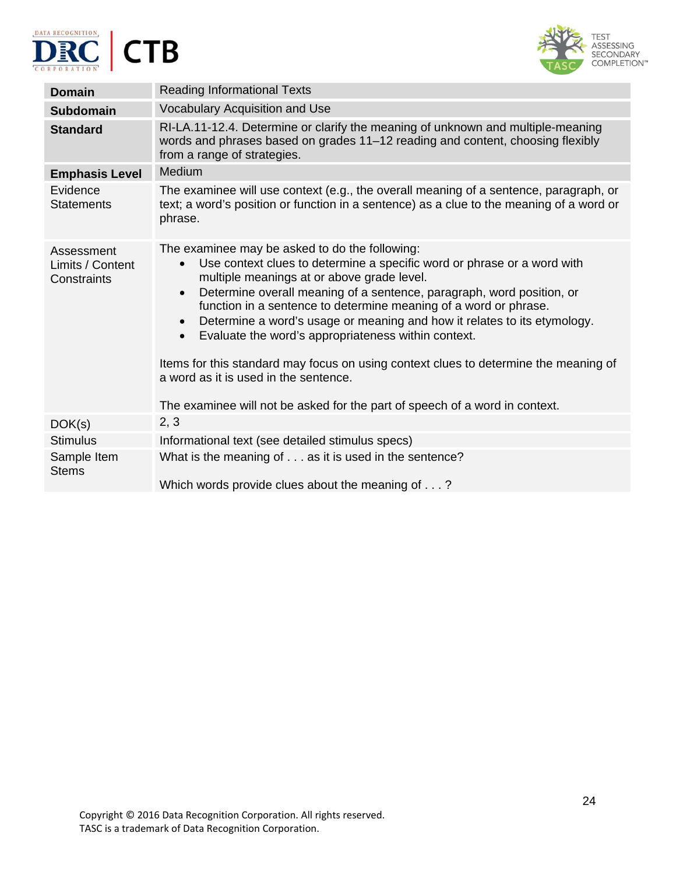





| <b>Domain</b>                                 | <b>Reading Informational Texts</b>                                                                                                                                                                                                                                                                                                                                                                                                                                                                                                                                                                                                                                                                                          |
|-----------------------------------------------|-----------------------------------------------------------------------------------------------------------------------------------------------------------------------------------------------------------------------------------------------------------------------------------------------------------------------------------------------------------------------------------------------------------------------------------------------------------------------------------------------------------------------------------------------------------------------------------------------------------------------------------------------------------------------------------------------------------------------------|
| <b>Subdomain</b>                              | Vocabulary Acquisition and Use                                                                                                                                                                                                                                                                                                                                                                                                                                                                                                                                                                                                                                                                                              |
| <b>Standard</b>                               | RI-LA.11-12.4. Determine or clarify the meaning of unknown and multiple-meaning<br>words and phrases based on grades 11–12 reading and content, choosing flexibly<br>from a range of strategies.                                                                                                                                                                                                                                                                                                                                                                                                                                                                                                                            |
| <b>Emphasis Level</b>                         | Medium                                                                                                                                                                                                                                                                                                                                                                                                                                                                                                                                                                                                                                                                                                                      |
| Evidence<br><b>Statements</b>                 | The examinee will use context (e.g., the overall meaning of a sentence, paragraph, or<br>text; a word's position or function in a sentence) as a clue to the meaning of a word or<br>phrase.                                                                                                                                                                                                                                                                                                                                                                                                                                                                                                                                |
| Assessment<br>Limits / Content<br>Constraints | The examinee may be asked to do the following:<br>Use context clues to determine a specific word or phrase or a word with<br>$\bullet$<br>multiple meanings at or above grade level.<br>Determine overall meaning of a sentence, paragraph, word position, or<br>$\bullet$<br>function in a sentence to determine meaning of a word or phrase.<br>Determine a word's usage or meaning and how it relates to its etymology.<br>$\bullet$<br>Evaluate the word's appropriateness within context.<br>$\bullet$<br>Items for this standard may focus on using context clues to determine the meaning of<br>a word as it is used in the sentence.<br>The examinee will not be asked for the part of speech of a word in context. |
| DOK(s)                                        | 2, 3                                                                                                                                                                                                                                                                                                                                                                                                                                                                                                                                                                                                                                                                                                                        |
| <b>Stimulus</b>                               | Informational text (see detailed stimulus specs)                                                                                                                                                                                                                                                                                                                                                                                                                                                                                                                                                                                                                                                                            |
| Sample Item<br><b>Stems</b>                   | What is the meaning of as it is used in the sentence?<br>Which words provide clues about the meaning of?                                                                                                                                                                                                                                                                                                                                                                                                                                                                                                                                                                                                                    |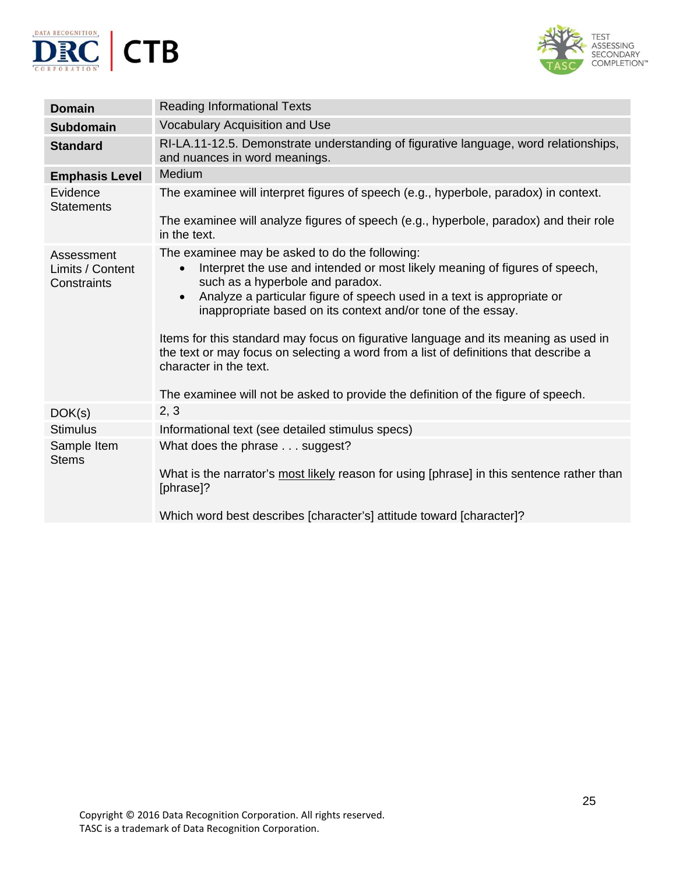



| <b>Domain</b>                                 | <b>Reading Informational Texts</b>                                                                                                                                                                                                                                                                                                                                                                                                                                                                                                                                                                                                  |
|-----------------------------------------------|-------------------------------------------------------------------------------------------------------------------------------------------------------------------------------------------------------------------------------------------------------------------------------------------------------------------------------------------------------------------------------------------------------------------------------------------------------------------------------------------------------------------------------------------------------------------------------------------------------------------------------------|
| <b>Subdomain</b>                              | Vocabulary Acquisition and Use                                                                                                                                                                                                                                                                                                                                                                                                                                                                                                                                                                                                      |
| <b>Standard</b>                               | RI-LA.11-12.5. Demonstrate understanding of figurative language, word relationships,<br>and nuances in word meanings.                                                                                                                                                                                                                                                                                                                                                                                                                                                                                                               |
| <b>Emphasis Level</b>                         | Medium                                                                                                                                                                                                                                                                                                                                                                                                                                                                                                                                                                                                                              |
| Evidence<br><b>Statements</b>                 | The examinee will interpret figures of speech (e.g., hyperbole, paradox) in context.                                                                                                                                                                                                                                                                                                                                                                                                                                                                                                                                                |
|                                               | The examinee will analyze figures of speech (e.g., hyperbole, paradox) and their role<br>in the text.                                                                                                                                                                                                                                                                                                                                                                                                                                                                                                                               |
| Assessment<br>Limits / Content<br>Constraints | The examinee may be asked to do the following:<br>Interpret the use and intended or most likely meaning of figures of speech,<br>$\bullet$<br>such as a hyperbole and paradox.<br>Analyze a particular figure of speech used in a text is appropriate or<br>$\bullet$<br>inappropriate based on its context and/or tone of the essay.<br>Items for this standard may focus on figurative language and its meaning as used in<br>the text or may focus on selecting a word from a list of definitions that describe a<br>character in the text.<br>The examinee will not be asked to provide the definition of the figure of speech. |
| DOK(s)                                        | 2, 3                                                                                                                                                                                                                                                                                                                                                                                                                                                                                                                                                                                                                                |
| <b>Stimulus</b>                               | Informational text (see detailed stimulus specs)                                                                                                                                                                                                                                                                                                                                                                                                                                                                                                                                                                                    |
| Sample Item<br><b>Stems</b>                   | What does the phrase suggest?<br>What is the narrator's most likely reason for using [phrase] in this sentence rather than<br>[phrase]?                                                                                                                                                                                                                                                                                                                                                                                                                                                                                             |
|                                               | Which word best describes [character's] attitude toward [character]?                                                                                                                                                                                                                                                                                                                                                                                                                                                                                                                                                                |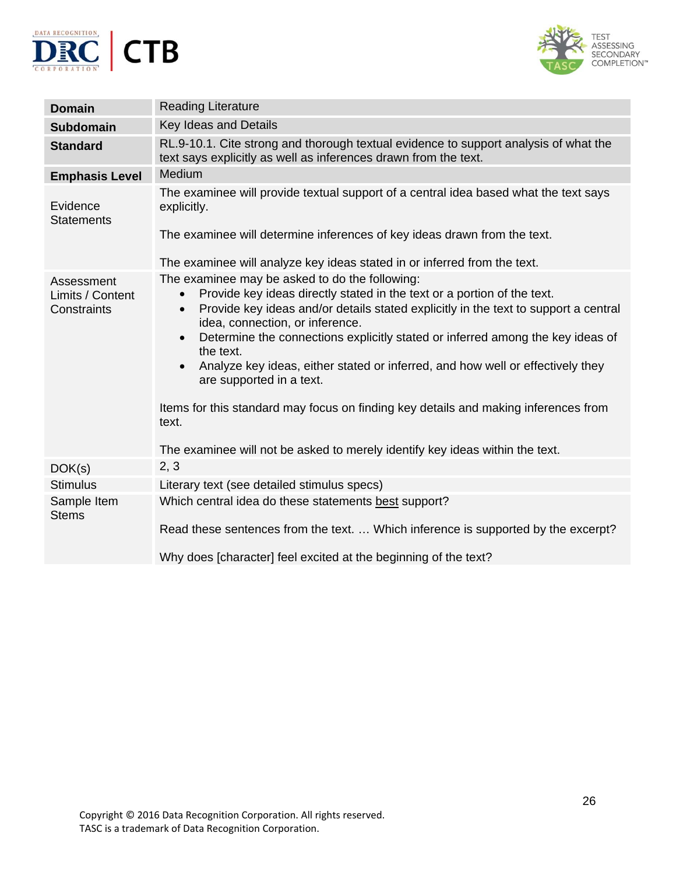



| <b>Domain</b>                                 | <b>Reading Literature</b>                                                                                                                                                                                                                                                                                                                                                                                                                                                                                                                                                                                                                                                                            |
|-----------------------------------------------|------------------------------------------------------------------------------------------------------------------------------------------------------------------------------------------------------------------------------------------------------------------------------------------------------------------------------------------------------------------------------------------------------------------------------------------------------------------------------------------------------------------------------------------------------------------------------------------------------------------------------------------------------------------------------------------------------|
| <b>Subdomain</b>                              | Key Ideas and Details                                                                                                                                                                                                                                                                                                                                                                                                                                                                                                                                                                                                                                                                                |
| <b>Standard</b>                               | RL.9-10.1. Cite strong and thorough textual evidence to support analysis of what the<br>text says explicitly as well as inferences drawn from the text.                                                                                                                                                                                                                                                                                                                                                                                                                                                                                                                                              |
| <b>Emphasis Level</b>                         | Medium                                                                                                                                                                                                                                                                                                                                                                                                                                                                                                                                                                                                                                                                                               |
| Evidence<br><b>Statements</b>                 | The examinee will provide textual support of a central idea based what the text says<br>explicitly.<br>The examinee will determine inferences of key ideas drawn from the text.                                                                                                                                                                                                                                                                                                                                                                                                                                                                                                                      |
|                                               | The examinee will analyze key ideas stated in or inferred from the text.                                                                                                                                                                                                                                                                                                                                                                                                                                                                                                                                                                                                                             |
| Assessment<br>Limits / Content<br>Constraints | The examinee may be asked to do the following:<br>Provide key ideas directly stated in the text or a portion of the text.<br>$\bullet$<br>Provide key ideas and/or details stated explicitly in the text to support a central<br>$\bullet$<br>idea, connection, or inference.<br>Determine the connections explicitly stated or inferred among the key ideas of<br>$\bullet$<br>the text.<br>Analyze key ideas, either stated or inferred, and how well or effectively they<br>$\bullet$<br>are supported in a text.<br>Items for this standard may focus on finding key details and making inferences from<br>text.<br>The examinee will not be asked to merely identify key ideas within the text. |
| DOK(s)                                        | 2, 3                                                                                                                                                                                                                                                                                                                                                                                                                                                                                                                                                                                                                                                                                                 |
| <b>Stimulus</b>                               | Literary text (see detailed stimulus specs)                                                                                                                                                                                                                                                                                                                                                                                                                                                                                                                                                                                                                                                          |
| Sample Item<br><b>Stems</b>                   | Which central idea do these statements best support?<br>Read these sentences from the text.  Which inference is supported by the excerpt?<br>Why does [character] feel excited at the beginning of the text?                                                                                                                                                                                                                                                                                                                                                                                                                                                                                         |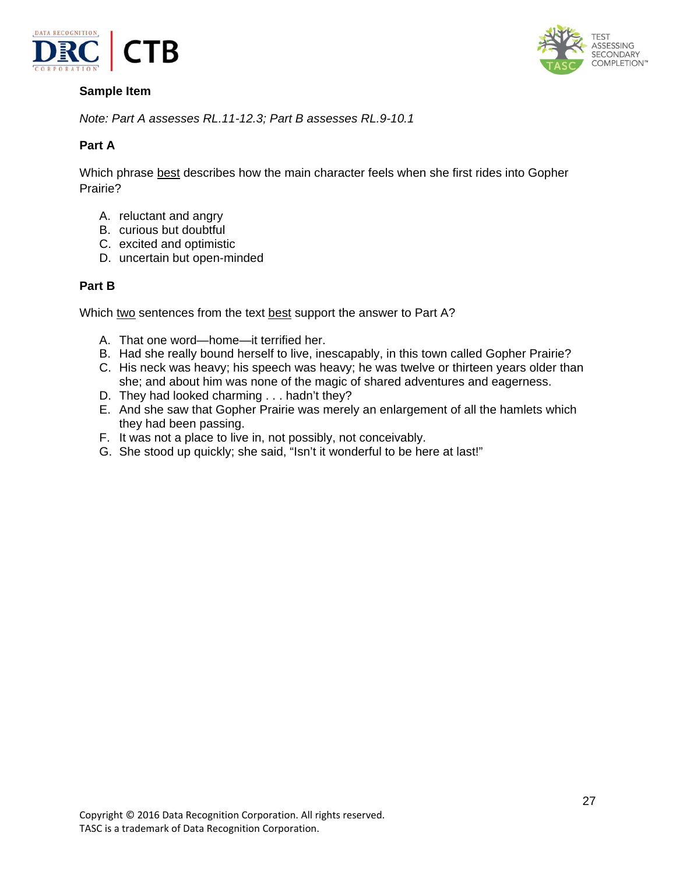

**ASSESSING** SECONDARY COMPLETION™

*Note: Part A assesses RL.11-12.3; Part B assesses RL.9-10.1* 

## **Part A**

Which phrase best describes how the main character feels when she first rides into Gopher Prairie?

- A. reluctant and angry
- B. curious but doubtful
- C. excited and optimistic
- D. uncertain but open-minded

#### **Part B**

Which two sentences from the text best support the answer to Part A?

- A. That one word—home—it terrified her.
- B. Had she really bound herself to live, inescapably, in this town called Gopher Prairie?
- C. His neck was heavy; his speech was heavy; he was twelve or thirteen years older than she; and about him was none of the magic of shared adventures and eagerness.
- D. They had looked charming . . . hadn't they?
- E. And she saw that Gopher Prairie was merely an enlargement of all the hamlets which they had been passing.
- F. It was not a place to live in, not possibly, not conceivably.
- G. She stood up quickly; she said, "Isn't it wonderful to be here at last!"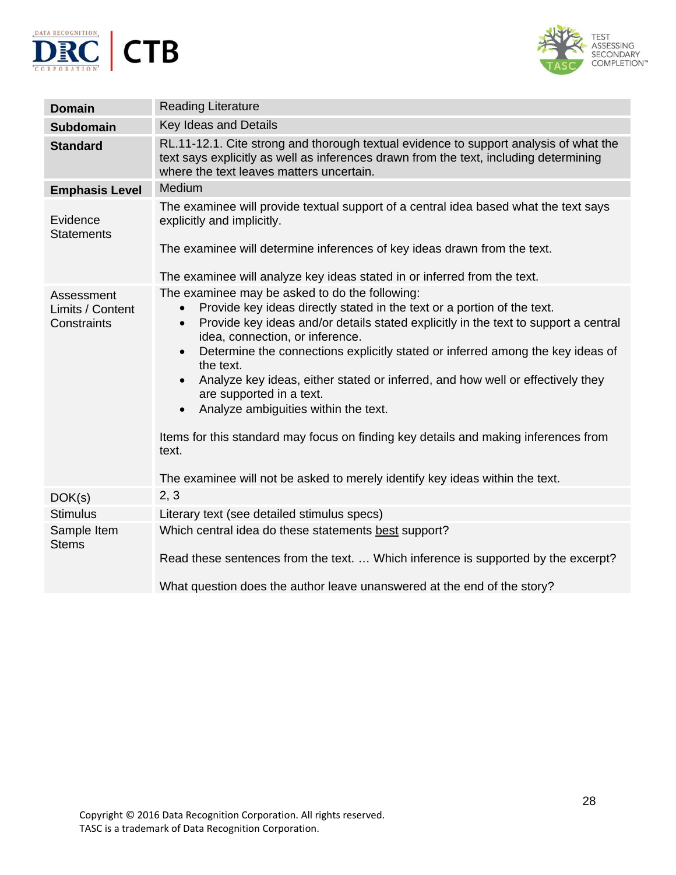



| <b>Domain</b>                   | <b>Reading Literature</b>                                                                                                                                                                                                                                                                                                                                                                                                                                                                                                                                                                                                                                                                  |
|---------------------------------|--------------------------------------------------------------------------------------------------------------------------------------------------------------------------------------------------------------------------------------------------------------------------------------------------------------------------------------------------------------------------------------------------------------------------------------------------------------------------------------------------------------------------------------------------------------------------------------------------------------------------------------------------------------------------------------------|
| <b>Subdomain</b>                | Key Ideas and Details                                                                                                                                                                                                                                                                                                                                                                                                                                                                                                                                                                                                                                                                      |
| <b>Standard</b>                 | RL.11-12.1. Cite strong and thorough textual evidence to support analysis of what the<br>text says explicitly as well as inferences drawn from the text, including determining<br>where the text leaves matters uncertain.                                                                                                                                                                                                                                                                                                                                                                                                                                                                 |
| <b>Emphasis Level</b>           | Medium                                                                                                                                                                                                                                                                                                                                                                                                                                                                                                                                                                                                                                                                                     |
| Evidence<br><b>Statements</b>   | The examinee will provide textual support of a central idea based what the text says<br>explicitly and implicitly.<br>The examinee will determine inferences of key ideas drawn from the text.<br>The examinee will analyze key ideas stated in or inferred from the text.                                                                                                                                                                                                                                                                                                                                                                                                                 |
| Assessment                      | The examinee may be asked to do the following:                                                                                                                                                                                                                                                                                                                                                                                                                                                                                                                                                                                                                                             |
| Limits / Content<br>Constraints | Provide key ideas directly stated in the text or a portion of the text.<br>$\bullet$<br>Provide key ideas and/or details stated explicitly in the text to support a central<br>$\bullet$<br>idea, connection, or inference.<br>Determine the connections explicitly stated or inferred among the key ideas of<br>$\bullet$<br>the text.<br>Analyze key ideas, either stated or inferred, and how well or effectively they<br>$\bullet$<br>are supported in a text.<br>Analyze ambiguities within the text.<br>Items for this standard may focus on finding key details and making inferences from<br>text.<br>The examinee will not be asked to merely identify key ideas within the text. |
| DOK(s)                          | 2, 3                                                                                                                                                                                                                                                                                                                                                                                                                                                                                                                                                                                                                                                                                       |
| <b>Stimulus</b>                 | Literary text (see detailed stimulus specs)                                                                                                                                                                                                                                                                                                                                                                                                                                                                                                                                                                                                                                                |
| Sample Item<br><b>Stems</b>     | Which central idea do these statements best support?<br>Read these sentences from the text.  Which inference is supported by the excerpt?<br>What question does the author leave unanswered at the end of the story?                                                                                                                                                                                                                                                                                                                                                                                                                                                                       |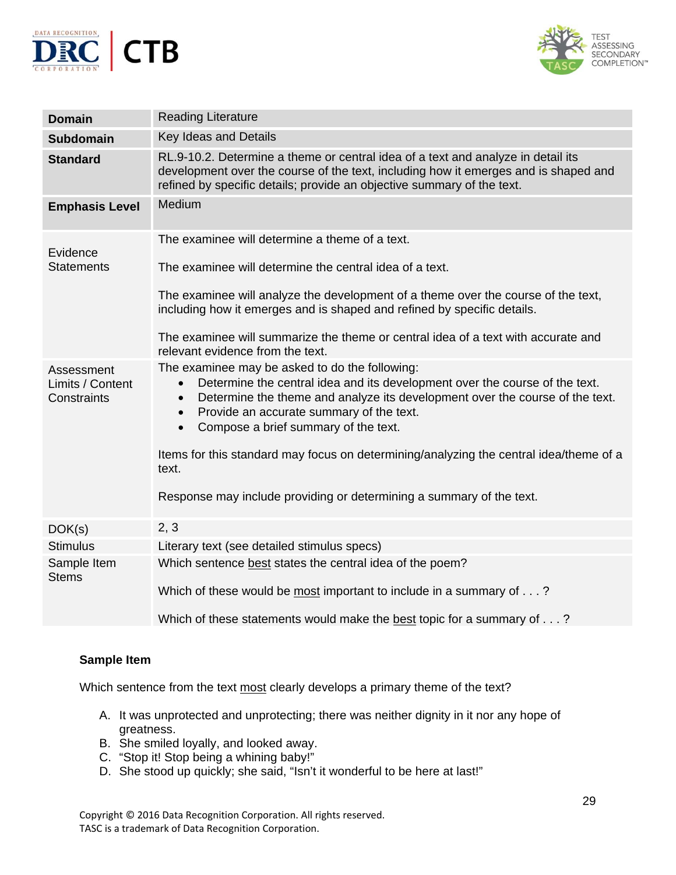



| <b>Domain</b>                                 | <b>Reading Literature</b>                                                                                                                                                                                                                                                                                                                             |
|-----------------------------------------------|-------------------------------------------------------------------------------------------------------------------------------------------------------------------------------------------------------------------------------------------------------------------------------------------------------------------------------------------------------|
| <b>Subdomain</b>                              | Key Ideas and Details                                                                                                                                                                                                                                                                                                                                 |
| <b>Standard</b>                               | RL.9-10.2. Determine a theme or central idea of a text and analyze in detail its<br>development over the course of the text, including how it emerges and is shaped and<br>refined by specific details; provide an objective summary of the text.                                                                                                     |
| <b>Emphasis Level</b>                         | Medium                                                                                                                                                                                                                                                                                                                                                |
| Evidence                                      | The examinee will determine a theme of a text.                                                                                                                                                                                                                                                                                                        |
| <b>Statements</b>                             | The examinee will determine the central idea of a text.                                                                                                                                                                                                                                                                                               |
|                                               | The examinee will analyze the development of a theme over the course of the text,<br>including how it emerges and is shaped and refined by specific details.                                                                                                                                                                                          |
|                                               | The examinee will summarize the theme or central idea of a text with accurate and<br>relevant evidence from the text.                                                                                                                                                                                                                                 |
| Assessment<br>Limits / Content<br>Constraints | The examinee may be asked to do the following:<br>Determine the central idea and its development over the course of the text.<br>$\bullet$<br>Determine the theme and analyze its development over the course of the text.<br>$\bullet$<br>Provide an accurate summary of the text.<br>$\bullet$<br>Compose a brief summary of the text.<br>$\bullet$ |
|                                               | Items for this standard may focus on determining/analyzing the central idea/theme of a<br>text.                                                                                                                                                                                                                                                       |
|                                               | Response may include providing or determining a summary of the text.                                                                                                                                                                                                                                                                                  |
| DOK(s)                                        | 2, 3                                                                                                                                                                                                                                                                                                                                                  |
| <b>Stimulus</b>                               | Literary text (see detailed stimulus specs)                                                                                                                                                                                                                                                                                                           |
| Sample Item<br><b>Stems</b>                   | Which sentence best states the central idea of the poem?                                                                                                                                                                                                                                                                                              |
|                                               | Which of these would be most important to include in a summary of?                                                                                                                                                                                                                                                                                    |
|                                               | Which of these statements would make the best topic for a summary of?                                                                                                                                                                                                                                                                                 |

Which sentence from the text most clearly develops a primary theme of the text?

- A. It was unprotected and unprotecting; there was neither dignity in it nor any hope of greatness.
- B. She smiled loyally, and looked away.
- C. "Stop it! Stop being a whining baby!"
- D. She stood up quickly; she said, "Isn't it wonderful to be here at last!"

Copyright © 2016 Data Recognition Corporation. All rights reserved. TASC is a trademark of Data Recognition Corporation.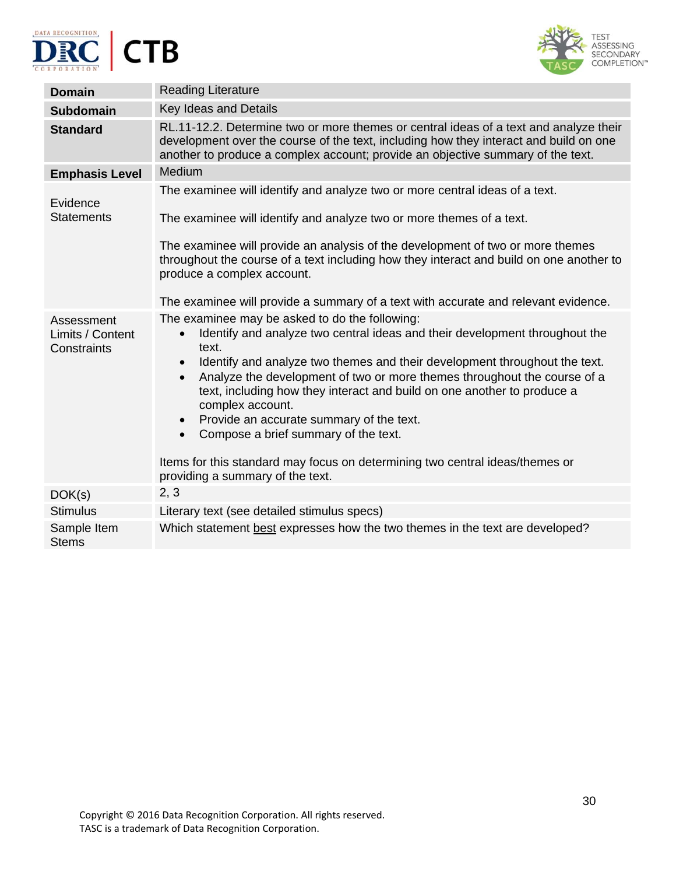





| <b>Domain</b>                                 | <b>Reading Literature</b>                                                                                                                                                                                                                                                                                                                                                                                                                                                                                                                                                                                                                                                |
|-----------------------------------------------|--------------------------------------------------------------------------------------------------------------------------------------------------------------------------------------------------------------------------------------------------------------------------------------------------------------------------------------------------------------------------------------------------------------------------------------------------------------------------------------------------------------------------------------------------------------------------------------------------------------------------------------------------------------------------|
| <b>Subdomain</b>                              | Key Ideas and Details                                                                                                                                                                                                                                                                                                                                                                                                                                                                                                                                                                                                                                                    |
| <b>Standard</b>                               | RL.11-12.2. Determine two or more themes or central ideas of a text and analyze their<br>development over the course of the text, including how they interact and build on one<br>another to produce a complex account; provide an objective summary of the text.                                                                                                                                                                                                                                                                                                                                                                                                        |
| <b>Emphasis Level</b>                         | Medium                                                                                                                                                                                                                                                                                                                                                                                                                                                                                                                                                                                                                                                                   |
| Evidence                                      | The examinee will identify and analyze two or more central ideas of a text.                                                                                                                                                                                                                                                                                                                                                                                                                                                                                                                                                                                              |
| <b>Statements</b>                             | The examinee will identify and analyze two or more themes of a text.                                                                                                                                                                                                                                                                                                                                                                                                                                                                                                                                                                                                     |
|                                               | The examinee will provide an analysis of the development of two or more themes<br>throughout the course of a text including how they interact and build on one another to<br>produce a complex account.                                                                                                                                                                                                                                                                                                                                                                                                                                                                  |
|                                               | The examinee will provide a summary of a text with accurate and relevant evidence.                                                                                                                                                                                                                                                                                                                                                                                                                                                                                                                                                                                       |
| Assessment<br>Limits / Content<br>Constraints | The examinee may be asked to do the following:<br>Identify and analyze two central ideas and their development throughout the<br>$\bullet$<br>text.<br>Identify and analyze two themes and their development throughout the text.<br>$\bullet$<br>Analyze the development of two or more themes throughout the course of a<br>$\bullet$<br>text, including how they interact and build on one another to produce a<br>complex account.<br>Provide an accurate summary of the text.<br>$\bullet$<br>Compose a brief summary of the text.<br>$\bullet$<br>Items for this standard may focus on determining two central ideas/themes or<br>providing a summary of the text. |
| DOK(s)                                        | 2, 3                                                                                                                                                                                                                                                                                                                                                                                                                                                                                                                                                                                                                                                                     |
| <b>Stimulus</b>                               | Literary text (see detailed stimulus specs)                                                                                                                                                                                                                                                                                                                                                                                                                                                                                                                                                                                                                              |
| Sample Item<br><b>Stems</b>                   | Which statement best expresses how the two themes in the text are developed?                                                                                                                                                                                                                                                                                                                                                                                                                                                                                                                                                                                             |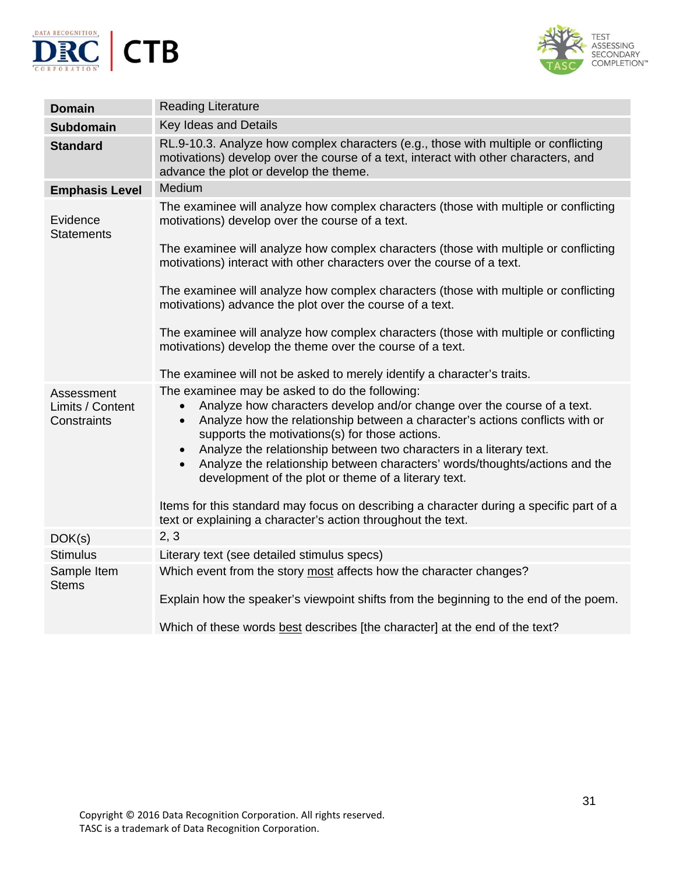



| <b>Domain</b>                                 | <b>Reading Literature</b>                                                                                                                                                                                                                                                                                                                                                                                                                                                                                                                                                                                                                                                   |
|-----------------------------------------------|-----------------------------------------------------------------------------------------------------------------------------------------------------------------------------------------------------------------------------------------------------------------------------------------------------------------------------------------------------------------------------------------------------------------------------------------------------------------------------------------------------------------------------------------------------------------------------------------------------------------------------------------------------------------------------|
| <b>Subdomain</b>                              | Key Ideas and Details                                                                                                                                                                                                                                                                                                                                                                                                                                                                                                                                                                                                                                                       |
| <b>Standard</b>                               | RL.9-10.3. Analyze how complex characters (e.g., those with multiple or conflicting<br>motivations) develop over the course of a text, interact with other characters, and<br>advance the plot or develop the theme.                                                                                                                                                                                                                                                                                                                                                                                                                                                        |
| <b>Emphasis Level</b>                         | Medium                                                                                                                                                                                                                                                                                                                                                                                                                                                                                                                                                                                                                                                                      |
| Evidence<br><b>Statements</b>                 | The examinee will analyze how complex characters (those with multiple or conflicting<br>motivations) develop over the course of a text.<br>The examinee will analyze how complex characters (those with multiple or conflicting<br>motivations) interact with other characters over the course of a text.<br>The examinee will analyze how complex characters (those with multiple or conflicting<br>motivations) advance the plot over the course of a text.<br>The examinee will analyze how complex characters (those with multiple or conflicting                                                                                                                       |
|                                               | motivations) develop the theme over the course of a text.                                                                                                                                                                                                                                                                                                                                                                                                                                                                                                                                                                                                                   |
|                                               | The examinee will not be asked to merely identify a character's traits.                                                                                                                                                                                                                                                                                                                                                                                                                                                                                                                                                                                                     |
| Assessment<br>Limits / Content<br>Constraints | The examinee may be asked to do the following:<br>Analyze how characters develop and/or change over the course of a text.<br>Analyze how the relationship between a character's actions conflicts with or<br>$\bullet$<br>supports the motivations(s) for those actions.<br>Analyze the relationship between two characters in a literary text.<br>$\bullet$<br>Analyze the relationship between characters' words/thoughts/actions and the<br>$\bullet$<br>development of the plot or theme of a literary text.<br>Items for this standard may focus on describing a character during a specific part of a<br>text or explaining a character's action throughout the text. |
| DOK(s)                                        | 2, 3                                                                                                                                                                                                                                                                                                                                                                                                                                                                                                                                                                                                                                                                        |
| <b>Stimulus</b>                               | Literary text (see detailed stimulus specs)                                                                                                                                                                                                                                                                                                                                                                                                                                                                                                                                                                                                                                 |
| Sample Item<br><b>Stems</b>                   | Which event from the story most affects how the character changes?<br>Explain how the speaker's viewpoint shifts from the beginning to the end of the poem.                                                                                                                                                                                                                                                                                                                                                                                                                                                                                                                 |
|                                               | Which of these words best describes [the character] at the end of the text?                                                                                                                                                                                                                                                                                                                                                                                                                                                                                                                                                                                                 |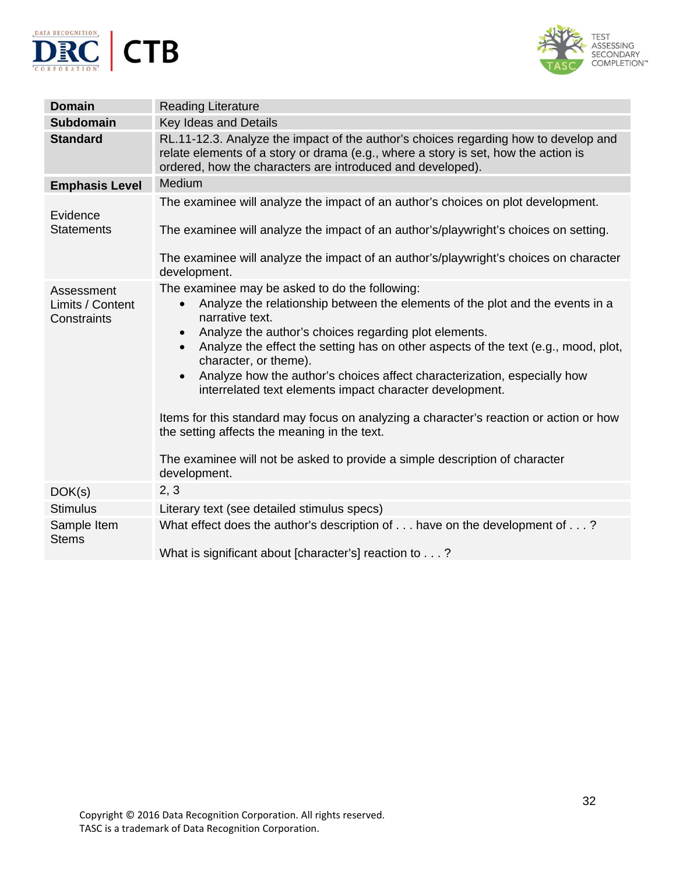



| <b>Domain</b>                                 | <b>Reading Literature</b>                                                                                                                                                                                                                                                                                                                                                                                                                                                                                                                                                                                                                                                                                                                                       |
|-----------------------------------------------|-----------------------------------------------------------------------------------------------------------------------------------------------------------------------------------------------------------------------------------------------------------------------------------------------------------------------------------------------------------------------------------------------------------------------------------------------------------------------------------------------------------------------------------------------------------------------------------------------------------------------------------------------------------------------------------------------------------------------------------------------------------------|
| <b>Subdomain</b>                              | <b>Key Ideas and Details</b>                                                                                                                                                                                                                                                                                                                                                                                                                                                                                                                                                                                                                                                                                                                                    |
| <b>Standard</b>                               | RL.11-12.3. Analyze the impact of the author's choices regarding how to develop and<br>relate elements of a story or drama (e.g., where a story is set, how the action is<br>ordered, how the characters are introduced and developed).                                                                                                                                                                                                                                                                                                                                                                                                                                                                                                                         |
| <b>Emphasis Level</b>                         | Medium                                                                                                                                                                                                                                                                                                                                                                                                                                                                                                                                                                                                                                                                                                                                                          |
| Evidence                                      | The examinee will analyze the impact of an author's choices on plot development.                                                                                                                                                                                                                                                                                                                                                                                                                                                                                                                                                                                                                                                                                |
| <b>Statements</b>                             | The examinee will analyze the impact of an author's/playwright's choices on setting.                                                                                                                                                                                                                                                                                                                                                                                                                                                                                                                                                                                                                                                                            |
|                                               | The examinee will analyze the impact of an author's/playwright's choices on character<br>development.                                                                                                                                                                                                                                                                                                                                                                                                                                                                                                                                                                                                                                                           |
| Assessment<br>Limits / Content<br>Constraints | The examinee may be asked to do the following:<br>Analyze the relationship between the elements of the plot and the events in a<br>$\bullet$<br>narrative text.<br>Analyze the author's choices regarding plot elements.<br>$\bullet$<br>Analyze the effect the setting has on other aspects of the text (e.g., mood, plot,<br>$\bullet$<br>character, or theme).<br>Analyze how the author's choices affect characterization, especially how<br>$\bullet$<br>interrelated text elements impact character development.<br>Items for this standard may focus on analyzing a character's reaction or action or how<br>the setting affects the meaning in the text.<br>The examinee will not be asked to provide a simple description of character<br>development. |
| DOK(s)                                        | 2, 3                                                                                                                                                                                                                                                                                                                                                                                                                                                                                                                                                                                                                                                                                                                                                            |
| <b>Stimulus</b>                               | Literary text (see detailed stimulus specs)                                                                                                                                                                                                                                                                                                                                                                                                                                                                                                                                                                                                                                                                                                                     |
| Sample Item<br><b>Stems</b>                   | What effect does the author's description of have on the development of ?                                                                                                                                                                                                                                                                                                                                                                                                                                                                                                                                                                                                                                                                                       |
|                                               | What is significant about [character's] reaction to ?                                                                                                                                                                                                                                                                                                                                                                                                                                                                                                                                                                                                                                                                                                           |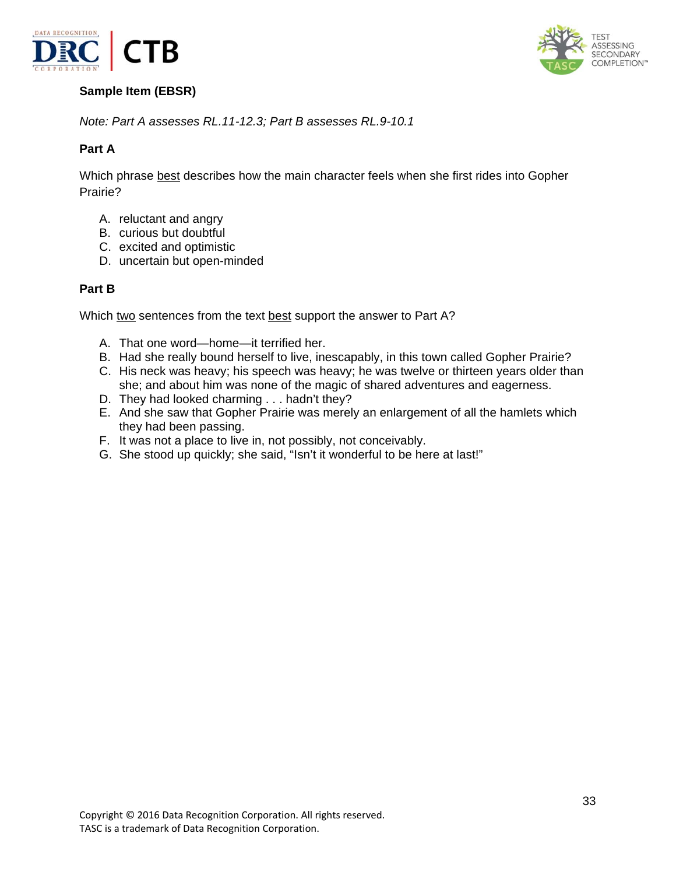



# **Sample Item (EBSR)**

*Note: Part A assesses RL.11-12.3; Part B assesses RL.9-10.1* 

## **Part A**

Which phrase best describes how the main character feels when she first rides into Gopher Prairie?

- A. reluctant and angry
- B. curious but doubtful
- C. excited and optimistic
- D. uncertain but open-minded

#### **Part B**

Which two sentences from the text best support the answer to Part A?

- A. That one word—home—it terrified her.
- B. Had she really bound herself to live, inescapably, in this town called Gopher Prairie?
- C. His neck was heavy; his speech was heavy; he was twelve or thirteen years older than she; and about him was none of the magic of shared adventures and eagerness.
- D. They had looked charming . . . hadn't they?
- E. And she saw that Gopher Prairie was merely an enlargement of all the hamlets which they had been passing.
- F. It was not a place to live in, not possibly, not conceivably.
- G. She stood up quickly; she said, "Isn't it wonderful to be here at last!"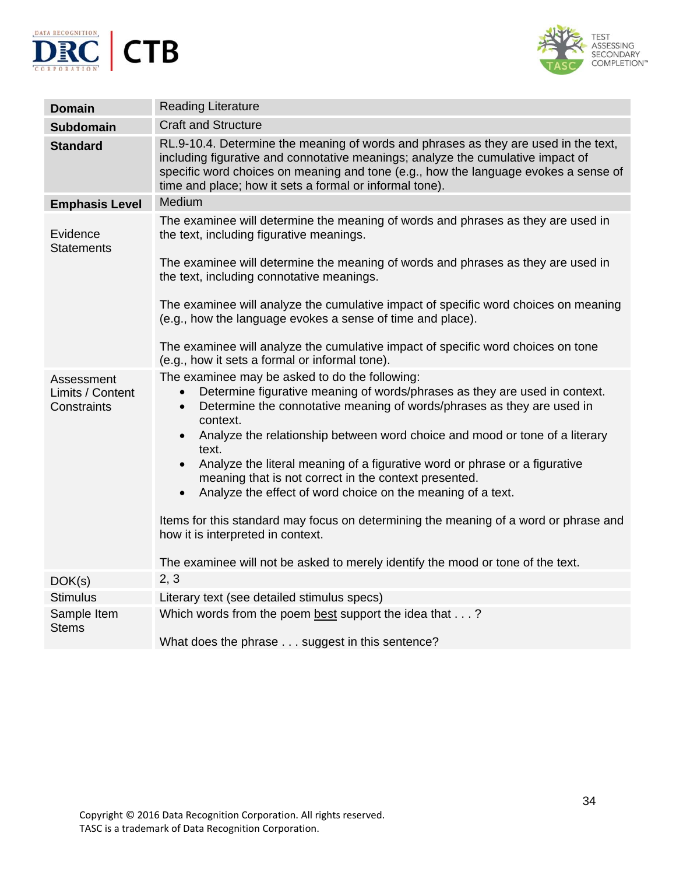



| <b>Domain</b>                                 | <b>Reading Literature</b>                                                                                                                                                                                                                                                                                                                                                                                                                                                                                                                                                                                                                                                                                                                                                            |
|-----------------------------------------------|--------------------------------------------------------------------------------------------------------------------------------------------------------------------------------------------------------------------------------------------------------------------------------------------------------------------------------------------------------------------------------------------------------------------------------------------------------------------------------------------------------------------------------------------------------------------------------------------------------------------------------------------------------------------------------------------------------------------------------------------------------------------------------------|
| <b>Subdomain</b>                              | <b>Craft and Structure</b>                                                                                                                                                                                                                                                                                                                                                                                                                                                                                                                                                                                                                                                                                                                                                           |
| <b>Standard</b>                               | RL.9-10.4. Determine the meaning of words and phrases as they are used in the text,<br>including figurative and connotative meanings; analyze the cumulative impact of<br>specific word choices on meaning and tone (e.g., how the language evokes a sense of<br>time and place; how it sets a formal or informal tone).                                                                                                                                                                                                                                                                                                                                                                                                                                                             |
| <b>Emphasis Level</b>                         | Medium                                                                                                                                                                                                                                                                                                                                                                                                                                                                                                                                                                                                                                                                                                                                                                               |
| Evidence<br><b>Statements</b>                 | The examinee will determine the meaning of words and phrases as they are used in<br>the text, including figurative meanings.<br>The examinee will determine the meaning of words and phrases as they are used in<br>the text, including connotative meanings.                                                                                                                                                                                                                                                                                                                                                                                                                                                                                                                        |
|                                               |                                                                                                                                                                                                                                                                                                                                                                                                                                                                                                                                                                                                                                                                                                                                                                                      |
|                                               | The examinee will analyze the cumulative impact of specific word choices on meaning<br>(e.g., how the language evokes a sense of time and place).                                                                                                                                                                                                                                                                                                                                                                                                                                                                                                                                                                                                                                    |
|                                               | The examinee will analyze the cumulative impact of specific word choices on tone<br>(e.g., how it sets a formal or informal tone).                                                                                                                                                                                                                                                                                                                                                                                                                                                                                                                                                                                                                                                   |
| Assessment<br>Limits / Content<br>Constraints | The examinee may be asked to do the following:<br>Determine figurative meaning of words/phrases as they are used in context.<br>$\bullet$<br>Determine the connotative meaning of words/phrases as they are used in<br>$\bullet$<br>context.<br>Analyze the relationship between word choice and mood or tone of a literary<br>$\bullet$<br>text.<br>Analyze the literal meaning of a figurative word or phrase or a figurative<br>meaning that is not correct in the context presented.<br>Analyze the effect of word choice on the meaning of a text.<br>$\bullet$<br>Items for this standard may focus on determining the meaning of a word or phrase and<br>how it is interpreted in context.<br>The examinee will not be asked to merely identify the mood or tone of the text. |
| DOK(s)                                        | 2, 3                                                                                                                                                                                                                                                                                                                                                                                                                                                                                                                                                                                                                                                                                                                                                                                 |
| <b>Stimulus</b>                               | Literary text (see detailed stimulus specs)                                                                                                                                                                                                                                                                                                                                                                                                                                                                                                                                                                                                                                                                                                                                          |
| Sample Item<br><b>Stems</b>                   | Which words from the poem best support the idea that?<br>What does the phrase suggest in this sentence?                                                                                                                                                                                                                                                                                                                                                                                                                                                                                                                                                                                                                                                                              |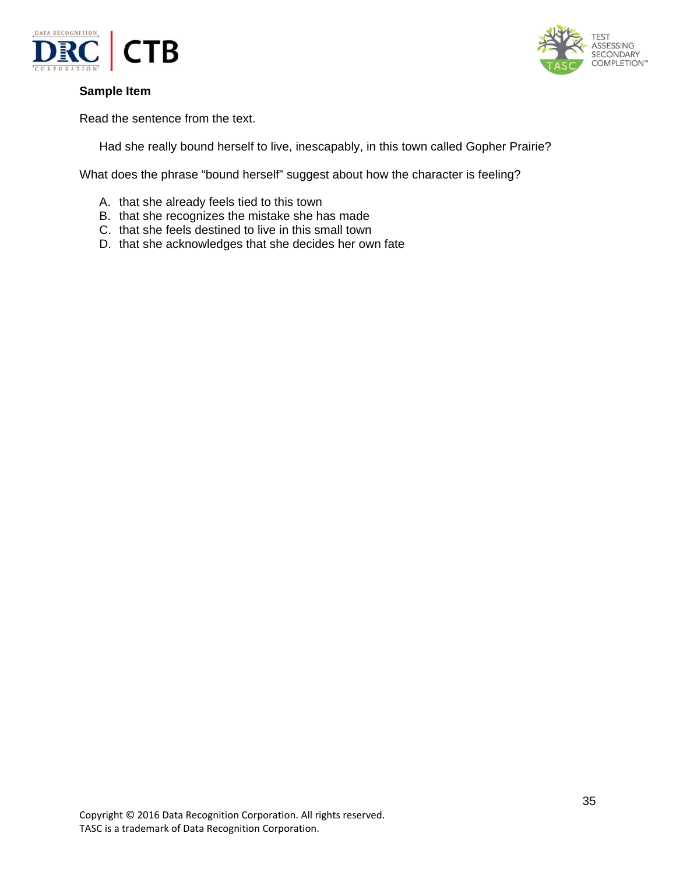



Read the sentence from the text.

Had she really bound herself to live, inescapably, in this town called Gopher Prairie?

What does the phrase "bound herself" suggest about how the character is feeling?

- A. that she already feels tied to this town
- B. that she recognizes the mistake she has made
- C. that she feels destined to live in this small town
- D. that she acknowledges that she decides her own fate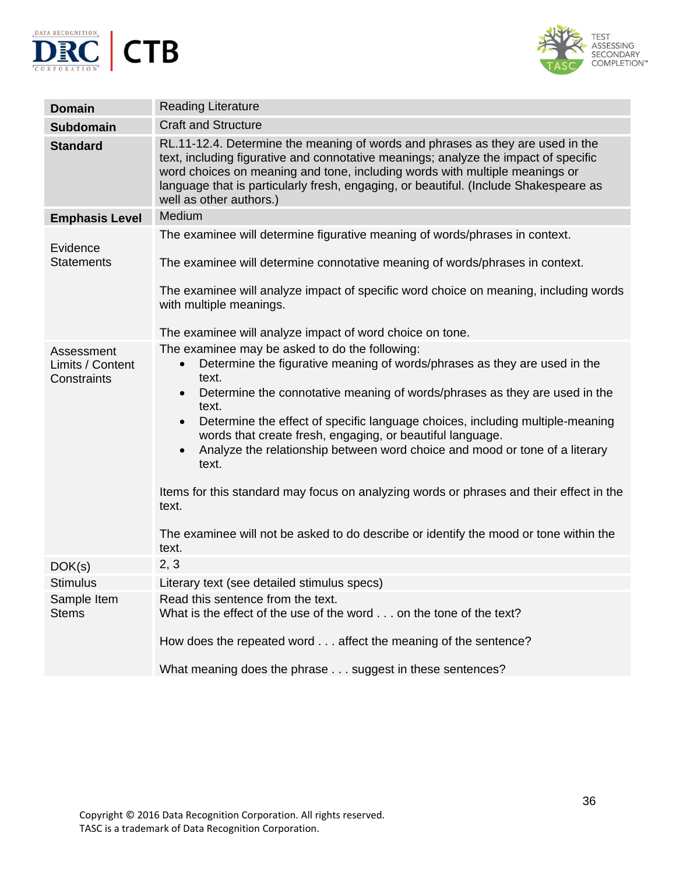



| <b>Domain</b>                                 | <b>Reading Literature</b>                                                                                                                                                                                                                                                                                                                                                                                                                                                                                                                                                                                                                                                                                                   |
|-----------------------------------------------|-----------------------------------------------------------------------------------------------------------------------------------------------------------------------------------------------------------------------------------------------------------------------------------------------------------------------------------------------------------------------------------------------------------------------------------------------------------------------------------------------------------------------------------------------------------------------------------------------------------------------------------------------------------------------------------------------------------------------------|
| <b>Subdomain</b>                              | <b>Craft and Structure</b>                                                                                                                                                                                                                                                                                                                                                                                                                                                                                                                                                                                                                                                                                                  |
| <b>Standard</b>                               | RL.11-12.4. Determine the meaning of words and phrases as they are used in the<br>text, including figurative and connotative meanings; analyze the impact of specific<br>word choices on meaning and tone, including words with multiple meanings or<br>language that is particularly fresh, engaging, or beautiful. (Include Shakespeare as<br>well as other authors.)                                                                                                                                                                                                                                                                                                                                                     |
| <b>Emphasis Level</b>                         | Medium                                                                                                                                                                                                                                                                                                                                                                                                                                                                                                                                                                                                                                                                                                                      |
| Evidence                                      | The examinee will determine figurative meaning of words/phrases in context.                                                                                                                                                                                                                                                                                                                                                                                                                                                                                                                                                                                                                                                 |
| <b>Statements</b>                             | The examinee will determine connotative meaning of words/phrases in context.                                                                                                                                                                                                                                                                                                                                                                                                                                                                                                                                                                                                                                                |
|                                               | The examinee will analyze impact of specific word choice on meaning, including words<br>with multiple meanings.                                                                                                                                                                                                                                                                                                                                                                                                                                                                                                                                                                                                             |
|                                               | The examinee will analyze impact of word choice on tone.                                                                                                                                                                                                                                                                                                                                                                                                                                                                                                                                                                                                                                                                    |
| Assessment<br>Limits / Content<br>Constraints | The examinee may be asked to do the following:<br>Determine the figurative meaning of words/phrases as they are used in the<br>$\bullet$<br>text.<br>Determine the connotative meaning of words/phrases as they are used in the<br>$\bullet$<br>text.<br>Determine the effect of specific language choices, including multiple-meaning<br>$\bullet$<br>words that create fresh, engaging, or beautiful language.<br>Analyze the relationship between word choice and mood or tone of a literary<br>$\bullet$<br>text.<br>Items for this standard may focus on analyzing words or phrases and their effect in the<br>text.<br>The examinee will not be asked to do describe or identify the mood or tone within the<br>text. |
| DOK(s)                                        | 2, 3                                                                                                                                                                                                                                                                                                                                                                                                                                                                                                                                                                                                                                                                                                                        |
| <b>Stimulus</b>                               | Literary text (see detailed stimulus specs)                                                                                                                                                                                                                                                                                                                                                                                                                                                                                                                                                                                                                                                                                 |
| Sample Item<br><b>Stems</b>                   | Read this sentence from the text.<br>What is the effect of the use of the word on the tone of the text?<br>How does the repeated word affect the meaning of the sentence?                                                                                                                                                                                                                                                                                                                                                                                                                                                                                                                                                   |
|                                               | What meaning does the phrase suggest in these sentences?                                                                                                                                                                                                                                                                                                                                                                                                                                                                                                                                                                                                                                                                    |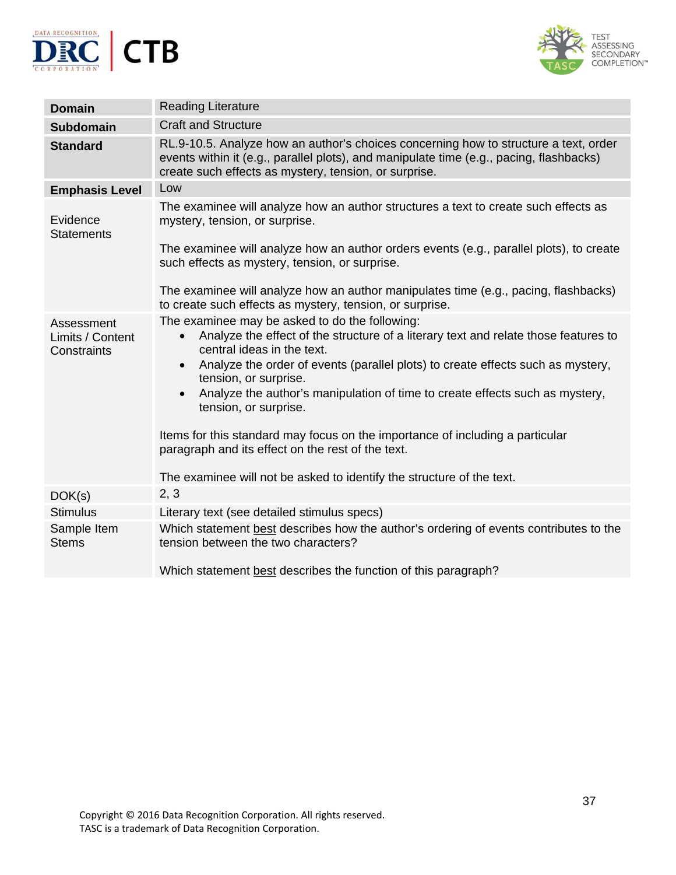



| <b>Domain</b>                                 | <b>Reading Literature</b>                                                                                                                                                                                                                                                                                                                                                                                                                                                                                                                                                                                                                      |
|-----------------------------------------------|------------------------------------------------------------------------------------------------------------------------------------------------------------------------------------------------------------------------------------------------------------------------------------------------------------------------------------------------------------------------------------------------------------------------------------------------------------------------------------------------------------------------------------------------------------------------------------------------------------------------------------------------|
| <b>Subdomain</b>                              | <b>Craft and Structure</b>                                                                                                                                                                                                                                                                                                                                                                                                                                                                                                                                                                                                                     |
| <b>Standard</b>                               | RL.9-10.5. Analyze how an author's choices concerning how to structure a text, order<br>events within it (e.g., parallel plots), and manipulate time (e.g., pacing, flashbacks)<br>create such effects as mystery, tension, or surprise.                                                                                                                                                                                                                                                                                                                                                                                                       |
| <b>Emphasis Level</b>                         | Low                                                                                                                                                                                                                                                                                                                                                                                                                                                                                                                                                                                                                                            |
| Evidence<br><b>Statements</b>                 | The examinee will analyze how an author structures a text to create such effects as<br>mystery, tension, or surprise.                                                                                                                                                                                                                                                                                                                                                                                                                                                                                                                          |
|                                               | The examinee will analyze how an author orders events (e.g., parallel plots), to create<br>such effects as mystery, tension, or surprise.                                                                                                                                                                                                                                                                                                                                                                                                                                                                                                      |
|                                               | The examinee will analyze how an author manipulates time (e.g., pacing, flashbacks)<br>to create such effects as mystery, tension, or surprise.                                                                                                                                                                                                                                                                                                                                                                                                                                                                                                |
| Assessment<br>Limits / Content<br>Constraints | The examinee may be asked to do the following:<br>Analyze the effect of the structure of a literary text and relate those features to<br>$\bullet$<br>central ideas in the text.<br>Analyze the order of events (parallel plots) to create effects such as mystery,<br>$\bullet$<br>tension, or surprise.<br>Analyze the author's manipulation of time to create effects such as mystery,<br>$\bullet$<br>tension, or surprise.<br>Items for this standard may focus on the importance of including a particular<br>paragraph and its effect on the rest of the text.<br>The examinee will not be asked to identify the structure of the text. |
| DOK(s)                                        | 2, 3                                                                                                                                                                                                                                                                                                                                                                                                                                                                                                                                                                                                                                           |
| <b>Stimulus</b>                               | Literary text (see detailed stimulus specs)                                                                                                                                                                                                                                                                                                                                                                                                                                                                                                                                                                                                    |
| Sample Item<br><b>Stems</b>                   | Which statement best describes how the author's ordering of events contributes to the<br>tension between the two characters?                                                                                                                                                                                                                                                                                                                                                                                                                                                                                                                   |
|                                               | Which statement best describes the function of this paragraph?                                                                                                                                                                                                                                                                                                                                                                                                                                                                                                                                                                                 |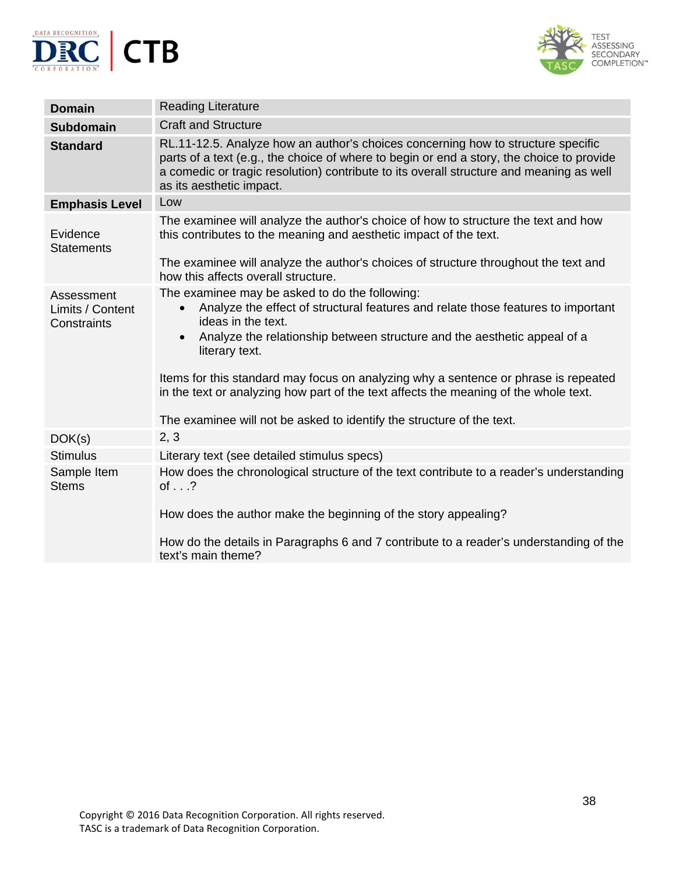



| <b>Domain</b>                                 | <b>Reading Literature</b>                                                                                                                                                                                                                                                                                                                                                                                                                                                                                                                |
|-----------------------------------------------|------------------------------------------------------------------------------------------------------------------------------------------------------------------------------------------------------------------------------------------------------------------------------------------------------------------------------------------------------------------------------------------------------------------------------------------------------------------------------------------------------------------------------------------|
| <b>Subdomain</b>                              | <b>Craft and Structure</b>                                                                                                                                                                                                                                                                                                                                                                                                                                                                                                               |
| <b>Standard</b>                               | RL.11-12.5. Analyze how an author's choices concerning how to structure specific<br>parts of a text (e.g., the choice of where to begin or end a story, the choice to provide<br>a comedic or tragic resolution) contribute to its overall structure and meaning as well<br>as its aesthetic impact.                                                                                                                                                                                                                                     |
| <b>Emphasis Level</b>                         | Low                                                                                                                                                                                                                                                                                                                                                                                                                                                                                                                                      |
| Evidence<br><b>Statements</b>                 | The examinee will analyze the author's choice of how to structure the text and how<br>this contributes to the meaning and aesthetic impact of the text.                                                                                                                                                                                                                                                                                                                                                                                  |
|                                               | The examinee will analyze the author's choices of structure throughout the text and<br>how this affects overall structure.                                                                                                                                                                                                                                                                                                                                                                                                               |
| Assessment<br>Limits / Content<br>Constraints | The examinee may be asked to do the following:<br>Analyze the effect of structural features and relate those features to important<br>$\bullet$<br>ideas in the text.<br>Analyze the relationship between structure and the aesthetic appeal of a<br>$\bullet$<br>literary text.<br>Items for this standard may focus on analyzing why a sentence or phrase is repeated<br>in the text or analyzing how part of the text affects the meaning of the whole text.<br>The examinee will not be asked to identify the structure of the text. |
| DOK(s)                                        | 2, 3                                                                                                                                                                                                                                                                                                                                                                                                                                                                                                                                     |
| <b>Stimulus</b>                               | Literary text (see detailed stimulus specs)                                                                                                                                                                                                                                                                                                                                                                                                                                                                                              |
| Sample Item<br><b>Stems</b>                   | How does the chronological structure of the text contribute to a reader's understanding<br>of $\ldots$ ?<br>How does the author make the beginning of the story appealing?                                                                                                                                                                                                                                                                                                                                                               |
|                                               | How do the details in Paragraphs 6 and 7 contribute to a reader's understanding of the<br>text's main theme?                                                                                                                                                                                                                                                                                                                                                                                                                             |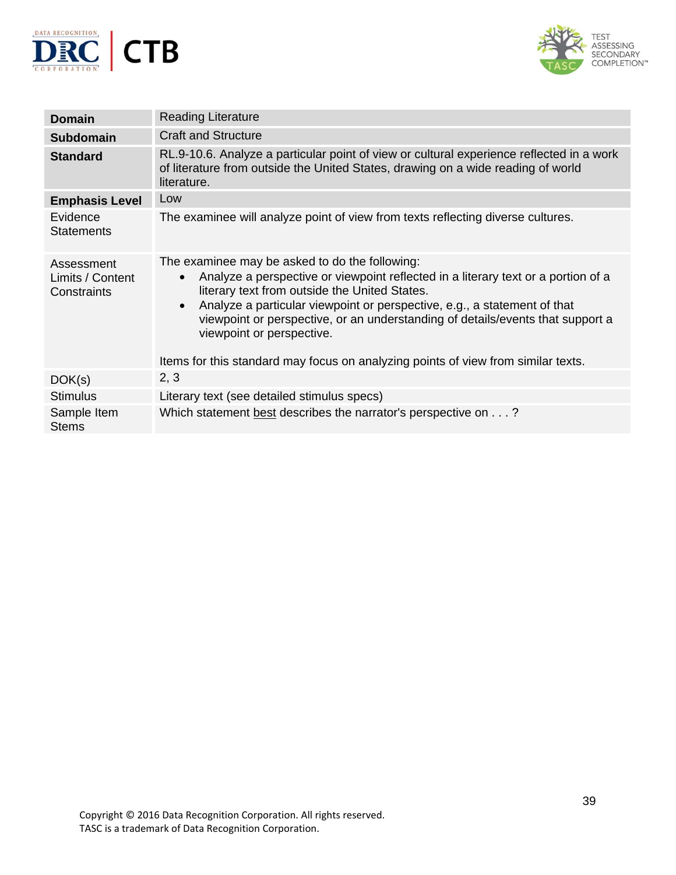



| <b>Domain</b>                                 | <b>Reading Literature</b>                                                                                                                                                                                                                                                                                                                                                                                                                                                                      |
|-----------------------------------------------|------------------------------------------------------------------------------------------------------------------------------------------------------------------------------------------------------------------------------------------------------------------------------------------------------------------------------------------------------------------------------------------------------------------------------------------------------------------------------------------------|
| <b>Subdomain</b>                              | <b>Craft and Structure</b>                                                                                                                                                                                                                                                                                                                                                                                                                                                                     |
| <b>Standard</b>                               | RL.9-10.6. Analyze a particular point of view or cultural experience reflected in a work<br>of literature from outside the United States, drawing on a wide reading of world<br>literature.                                                                                                                                                                                                                                                                                                    |
| <b>Emphasis Level</b>                         | Low                                                                                                                                                                                                                                                                                                                                                                                                                                                                                            |
| Evidence<br><b>Statements</b>                 | The examinee will analyze point of view from texts reflecting diverse cultures.                                                                                                                                                                                                                                                                                                                                                                                                                |
| Assessment<br>Limits / Content<br>Constraints | The examinee may be asked to do the following:<br>Analyze a perspective or viewpoint reflected in a literary text or a portion of a<br>$\bullet$<br>literary text from outside the United States.<br>Analyze a particular viewpoint or perspective, e.g., a statement of that<br>$\bullet$<br>viewpoint or perspective, or an understanding of details/events that support a<br>viewpoint or perspective.<br>Items for this standard may focus on analyzing points of view from similar texts. |
| DOK(s)                                        | 2, 3                                                                                                                                                                                                                                                                                                                                                                                                                                                                                           |
| <b>Stimulus</b>                               | Literary text (see detailed stimulus specs)                                                                                                                                                                                                                                                                                                                                                                                                                                                    |
| Sample Item<br><b>Stems</b>                   | Which statement best describes the narrator's perspective on?                                                                                                                                                                                                                                                                                                                                                                                                                                  |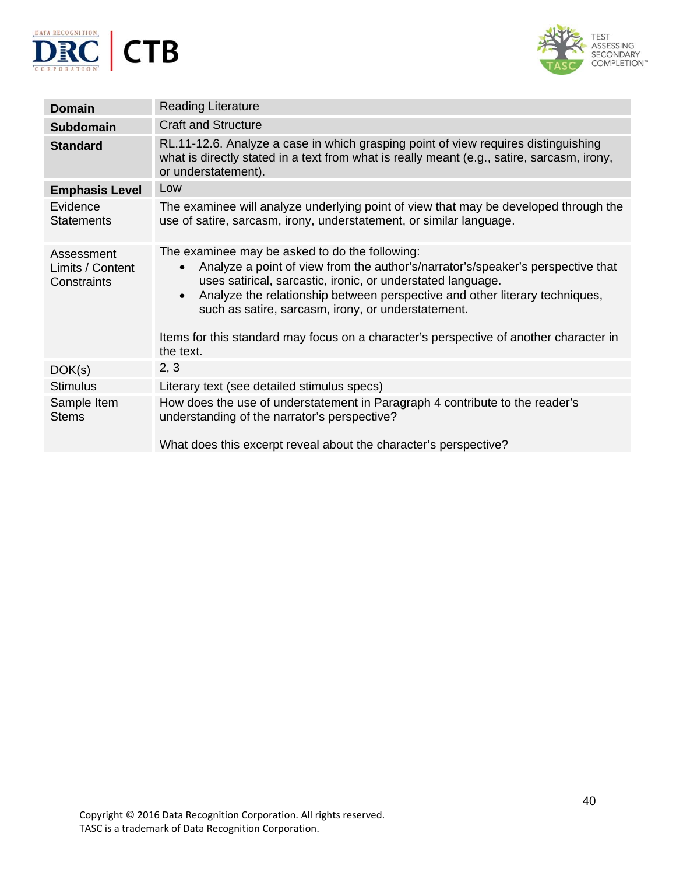



| Domain                                        | <b>Reading Literature</b>                                                                                                                                                                                                                                                                                                                                                                                                                                              |
|-----------------------------------------------|------------------------------------------------------------------------------------------------------------------------------------------------------------------------------------------------------------------------------------------------------------------------------------------------------------------------------------------------------------------------------------------------------------------------------------------------------------------------|
| <b>Subdomain</b>                              | <b>Craft and Structure</b>                                                                                                                                                                                                                                                                                                                                                                                                                                             |
| <b>Standard</b>                               | RL.11-12.6. Analyze a case in which grasping point of view requires distinguishing<br>what is directly stated in a text from what is really meant (e.g., satire, sarcasm, irony,<br>or understatement).                                                                                                                                                                                                                                                                |
| <b>Emphasis Level</b>                         | Low                                                                                                                                                                                                                                                                                                                                                                                                                                                                    |
| Evidence<br><b>Statements</b>                 | The examinee will analyze underlying point of view that may be developed through the<br>use of satire, sarcasm, irony, understatement, or similar language.                                                                                                                                                                                                                                                                                                            |
| Assessment<br>Limits / Content<br>Constraints | The examinee may be asked to do the following:<br>Analyze a point of view from the author's/narrator's/speaker's perspective that<br>$\bullet$<br>uses satirical, sarcastic, ironic, or understated language.<br>Analyze the relationship between perspective and other literary techniques,<br>$\bullet$<br>such as satire, sarcasm, irony, or understatement.<br>Items for this standard may focus on a character's perspective of another character in<br>the text. |
| DOK(s)                                        | 2, 3                                                                                                                                                                                                                                                                                                                                                                                                                                                                   |
| <b>Stimulus</b>                               | Literary text (see detailed stimulus specs)                                                                                                                                                                                                                                                                                                                                                                                                                            |
| Sample Item<br><b>Stems</b>                   | How does the use of understatement in Paragraph 4 contribute to the reader's<br>understanding of the narrator's perspective?<br>What does this excerpt reveal about the character's perspective?                                                                                                                                                                                                                                                                       |
|                                               |                                                                                                                                                                                                                                                                                                                                                                                                                                                                        |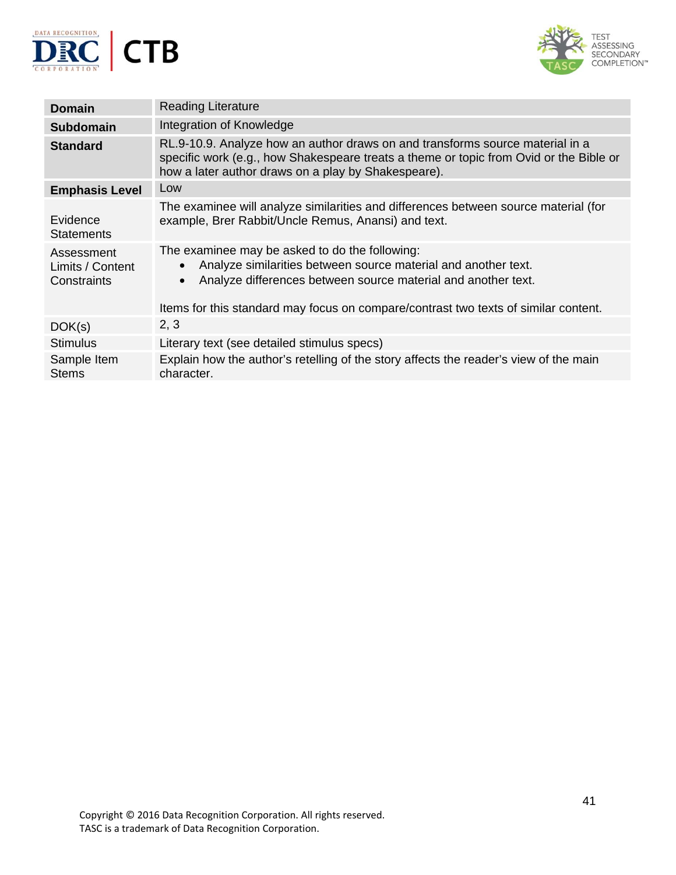



| <b>Domain</b>                                 | <b>Reading Literature</b>                                                                                                                                                                                                                                                                          |
|-----------------------------------------------|----------------------------------------------------------------------------------------------------------------------------------------------------------------------------------------------------------------------------------------------------------------------------------------------------|
| <b>Subdomain</b>                              | Integration of Knowledge                                                                                                                                                                                                                                                                           |
| <b>Standard</b>                               | RL.9-10.9. Analyze how an author draws on and transforms source material in a<br>specific work (e.g., how Shakespeare treats a theme or topic from Ovid or the Bible or<br>how a later author draws on a play by Shakespeare).                                                                     |
| <b>Emphasis Level</b>                         | Low                                                                                                                                                                                                                                                                                                |
| Evidence<br><b>Statements</b>                 | The examinee will analyze similarities and differences between source material (for<br>example, Brer Rabbit/Uncle Remus, Anansi) and text.                                                                                                                                                         |
| Assessment<br>Limits / Content<br>Constraints | The examinee may be asked to do the following:<br>Analyze similarities between source material and another text.<br>$\bullet$<br>Analyze differences between source material and another text.<br>$\bullet$<br>Items for this standard may focus on compare/contrast two texts of similar content. |
| DOK(s)                                        | 2, 3                                                                                                                                                                                                                                                                                               |
| <b>Stimulus</b>                               | Literary text (see detailed stimulus specs)                                                                                                                                                                                                                                                        |
| Sample Item<br><b>Stems</b>                   | Explain how the author's retelling of the story affects the reader's view of the main<br>character.                                                                                                                                                                                                |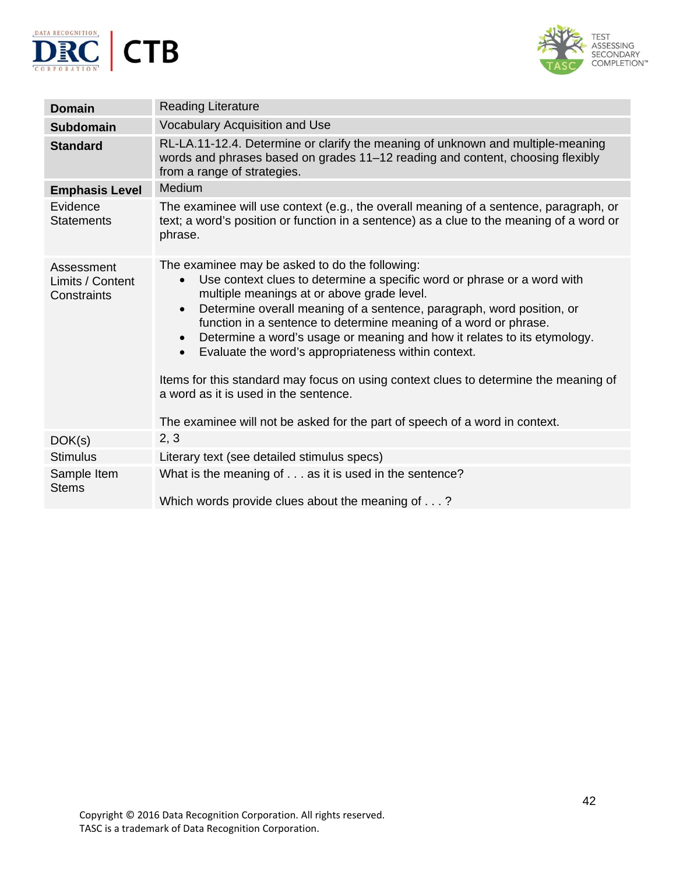



| <b>Domain</b>                                 | <b>Reading Literature</b>                                                                                                                                                                                                                                                                                                                                                                                                                                                                                                                                                                                                                                                                                                   |
|-----------------------------------------------|-----------------------------------------------------------------------------------------------------------------------------------------------------------------------------------------------------------------------------------------------------------------------------------------------------------------------------------------------------------------------------------------------------------------------------------------------------------------------------------------------------------------------------------------------------------------------------------------------------------------------------------------------------------------------------------------------------------------------------|
| <b>Subdomain</b>                              | Vocabulary Acquisition and Use                                                                                                                                                                                                                                                                                                                                                                                                                                                                                                                                                                                                                                                                                              |
| <b>Standard</b>                               | RL-LA.11-12.4. Determine or clarify the meaning of unknown and multiple-meaning<br>words and phrases based on grades 11-12 reading and content, choosing flexibly<br>from a range of strategies.                                                                                                                                                                                                                                                                                                                                                                                                                                                                                                                            |
| <b>Emphasis Level</b>                         | Medium                                                                                                                                                                                                                                                                                                                                                                                                                                                                                                                                                                                                                                                                                                                      |
| Evidence<br><b>Statements</b>                 | The examinee will use context (e.g., the overall meaning of a sentence, paragraph, or<br>text; a word's position or function in a sentence) as a clue to the meaning of a word or<br>phrase.                                                                                                                                                                                                                                                                                                                                                                                                                                                                                                                                |
| Assessment<br>Limits / Content<br>Constraints | The examinee may be asked to do the following:<br>Use context clues to determine a specific word or phrase or a word with<br>$\bullet$<br>multiple meanings at or above grade level.<br>Determine overall meaning of a sentence, paragraph, word position, or<br>$\bullet$<br>function in a sentence to determine meaning of a word or phrase.<br>Determine a word's usage or meaning and how it relates to its etymology.<br>$\bullet$<br>Evaluate the word's appropriateness within context.<br>$\bullet$<br>Items for this standard may focus on using context clues to determine the meaning of<br>a word as it is used in the sentence.<br>The examinee will not be asked for the part of speech of a word in context. |
| DOK(s)                                        | 2, 3                                                                                                                                                                                                                                                                                                                                                                                                                                                                                                                                                                                                                                                                                                                        |
| <b>Stimulus</b>                               | Literary text (see detailed stimulus specs)                                                                                                                                                                                                                                                                                                                                                                                                                                                                                                                                                                                                                                                                                 |
| Sample Item<br><b>Stems</b>                   | What is the meaning of as it is used in the sentence?<br>Which words provide clues about the meaning of?                                                                                                                                                                                                                                                                                                                                                                                                                                                                                                                                                                                                                    |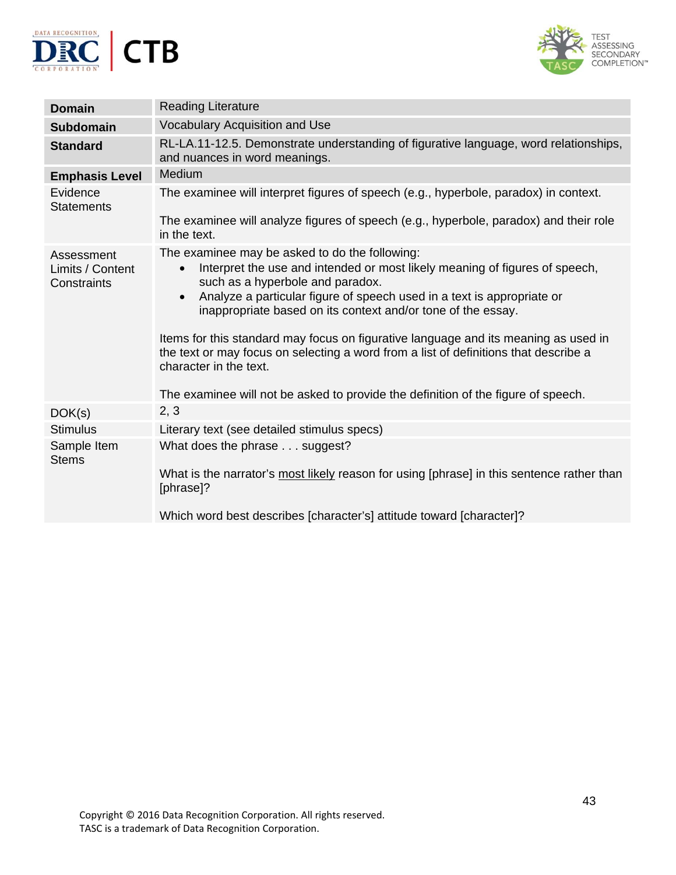



| <b>Domain</b>                                 | <b>Reading Literature</b>                                                                                                                                                                                                                                                                                                                                                                                                                                                                                                                                                                                                           |
|-----------------------------------------------|-------------------------------------------------------------------------------------------------------------------------------------------------------------------------------------------------------------------------------------------------------------------------------------------------------------------------------------------------------------------------------------------------------------------------------------------------------------------------------------------------------------------------------------------------------------------------------------------------------------------------------------|
| <b>Subdomain</b>                              | Vocabulary Acquisition and Use                                                                                                                                                                                                                                                                                                                                                                                                                                                                                                                                                                                                      |
| <b>Standard</b>                               | RL-LA.11-12.5. Demonstrate understanding of figurative language, word relationships,<br>and nuances in word meanings.                                                                                                                                                                                                                                                                                                                                                                                                                                                                                                               |
| <b>Emphasis Level</b>                         | Medium                                                                                                                                                                                                                                                                                                                                                                                                                                                                                                                                                                                                                              |
| Evidence<br><b>Statements</b>                 | The examinee will interpret figures of speech (e.g., hyperbole, paradox) in context.                                                                                                                                                                                                                                                                                                                                                                                                                                                                                                                                                |
|                                               | The examinee will analyze figures of speech (e.g., hyperbole, paradox) and their role<br>in the text.                                                                                                                                                                                                                                                                                                                                                                                                                                                                                                                               |
| Assessment<br>Limits / Content<br>Constraints | The examinee may be asked to do the following:<br>Interpret the use and intended or most likely meaning of figures of speech,<br>$\bullet$<br>such as a hyperbole and paradox.<br>Analyze a particular figure of speech used in a text is appropriate or<br>$\bullet$<br>inappropriate based on its context and/or tone of the essay.<br>Items for this standard may focus on figurative language and its meaning as used in<br>the text or may focus on selecting a word from a list of definitions that describe a<br>character in the text.<br>The examinee will not be asked to provide the definition of the figure of speech. |
| DOK(s)                                        | 2, 3                                                                                                                                                                                                                                                                                                                                                                                                                                                                                                                                                                                                                                |
| <b>Stimulus</b>                               | Literary text (see detailed stimulus specs)                                                                                                                                                                                                                                                                                                                                                                                                                                                                                                                                                                                         |
| Sample Item<br><b>Stems</b>                   | What does the phrase suggest?<br>What is the narrator's most likely reason for using [phrase] in this sentence rather than                                                                                                                                                                                                                                                                                                                                                                                                                                                                                                          |
|                                               | [phrase]?<br>Which word best describes [character's] attitude toward [character]?                                                                                                                                                                                                                                                                                                                                                                                                                                                                                                                                                   |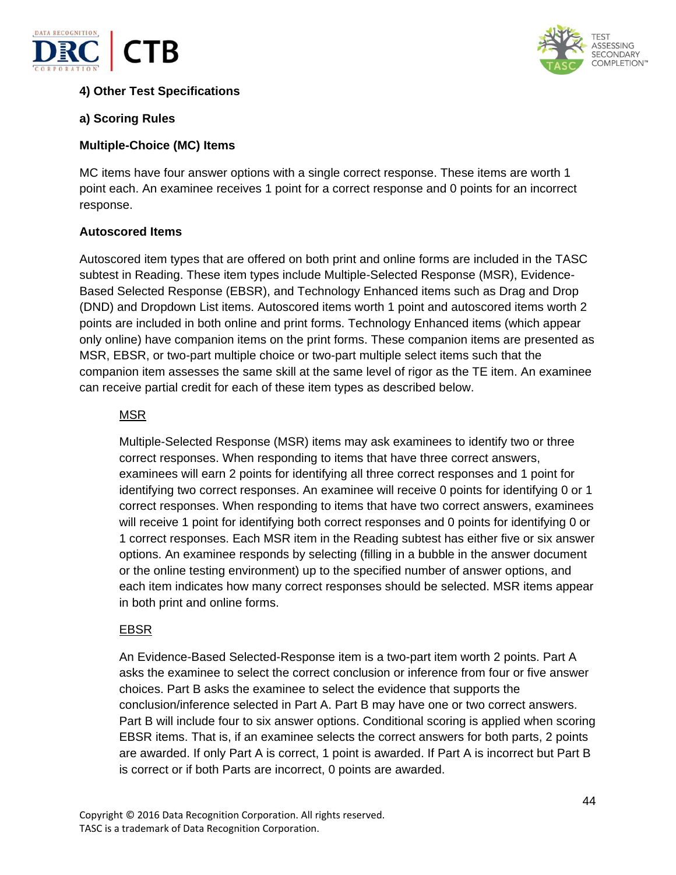



# **4) Other Test Specifications**

## **a) Scoring Rules**

#### **Multiple-Choice (MC) Items**

MC items have four answer options with a single correct response. These items are worth 1 point each. An examinee receives 1 point for a correct response and 0 points for an incorrect response.

#### **Autoscored Items**

Autoscored item types that are offered on both print and online forms are included in the TASC subtest in Reading. These item types include Multiple-Selected Response (MSR), Evidence-Based Selected Response (EBSR), and Technology Enhanced items such as Drag and Drop (DND) and Dropdown List items. Autoscored items worth 1 point and autoscored items worth 2 points are included in both online and print forms. Technology Enhanced items (which appear only online) have companion items on the print forms. These companion items are presented as MSR, EBSR, or two-part multiple choice or two-part multiple select items such that the companion item assesses the same skill at the same level of rigor as the TE item. An examinee can receive partial credit for each of these item types as described below.

## MSR

Multiple-Selected Response (MSR) items may ask examinees to identify two or three correct responses. When responding to items that have three correct answers, examinees will earn 2 points for identifying all three correct responses and 1 point for identifying two correct responses. An examinee will receive 0 points for identifying 0 or 1 correct responses. When responding to items that have two correct answers, examinees will receive 1 point for identifying both correct responses and 0 points for identifying 0 or 1 correct responses. Each MSR item in the Reading subtest has either five or six answer options. An examinee responds by selecting (filling in a bubble in the answer document or the online testing environment) up to the specified number of answer options, and each item indicates how many correct responses should be selected. MSR items appear in both print and online forms.

## EBSR

An Evidence-Based Selected-Response item is a two-part item worth 2 points. Part A asks the examinee to select the correct conclusion or inference from four or five answer choices. Part B asks the examinee to select the evidence that supports the conclusion/inference selected in Part A. Part B may have one or two correct answers. Part B will include four to six answer options. Conditional scoring is applied when scoring EBSR items. That is, if an examinee selects the correct answers for both parts, 2 points are awarded. If only Part A is correct, 1 point is awarded. If Part A is incorrect but Part B is correct or if both Parts are incorrect, 0 points are awarded.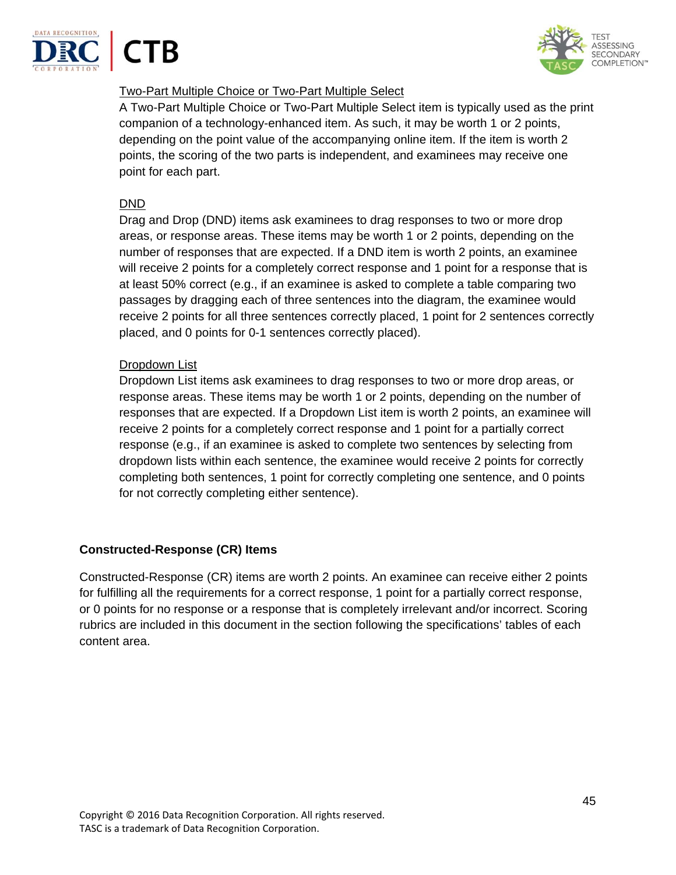





# Two-Part Multiple Choice or Two-Part Multiple Select

A Two-Part Multiple Choice or Two-Part Multiple Select item is typically used as the print companion of a technology-enhanced item. As such, it may be worth 1 or 2 points, depending on the point value of the accompanying online item. If the item is worth 2 points, the scoring of the two parts is independent, and examinees may receive one point for each part.

## DND

Drag and Drop (DND) items ask examinees to drag responses to two or more drop areas, or response areas. These items may be worth 1 or 2 points, depending on the number of responses that are expected. If a DND item is worth 2 points, an examinee will receive 2 points for a completely correct response and 1 point for a response that is at least 50% correct (e.g., if an examinee is asked to complete a table comparing two passages by dragging each of three sentences into the diagram, the examinee would receive 2 points for all three sentences correctly placed, 1 point for 2 sentences correctly placed, and 0 points for 0-1 sentences correctly placed).

# Dropdown List

Dropdown List items ask examinees to drag responses to two or more drop areas, or response areas. These items may be worth 1 or 2 points, depending on the number of responses that are expected. If a Dropdown List item is worth 2 points, an examinee will receive 2 points for a completely correct response and 1 point for a partially correct response (e.g., if an examinee is asked to complete two sentences by selecting from dropdown lists within each sentence, the examinee would receive 2 points for correctly completing both sentences, 1 point for correctly completing one sentence, and 0 points for not correctly completing either sentence).

# **Constructed-Response (CR) Items**

Constructed-Response (CR) items are worth 2 points. An examinee can receive either 2 points for fulfilling all the requirements for a correct response, 1 point for a partially correct response, or 0 points for no response or a response that is completely irrelevant and/or incorrect. Scoring rubrics are included in this document in the section following the specifications' tables of each content area.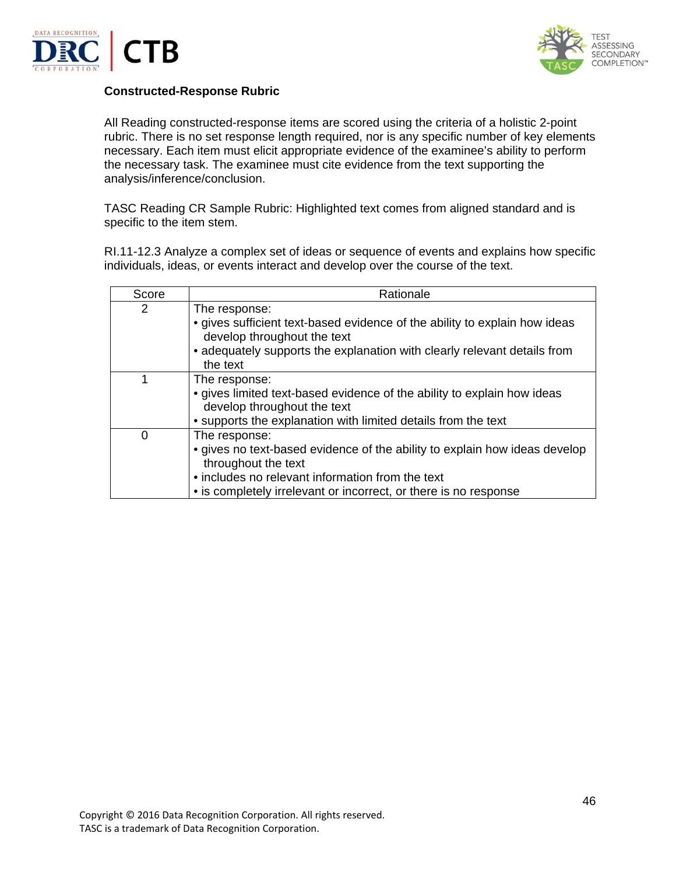



#### **Constructed-Response Rubric**

All Reading constructed-response items are scored using the criteria of a holistic 2-point rubric. There is no set response length required, nor is any specific number of key elements necessary. Each item must elicit appropriate evidence of the examinee's ability to perform the necessary task. The examinee must cite evidence from the text supporting the analysis/inference/conclusion.

TASC Reading CR Sample Rubric: Highlighted text comes from aligned standard and is specific to the item stem.

RI.11-12.3 Analyze a complex set of ideas or sequence of events and explains how specific individuals, ideas, or events interact and develop over the course of the text.

| Score | Rationale                                                                                                                                                                                                                                  |
|-------|--------------------------------------------------------------------------------------------------------------------------------------------------------------------------------------------------------------------------------------------|
| 2     | The response:<br>• gives sufficient text-based evidence of the ability to explain how ideas<br>develop throughout the text<br>• adequately supports the explanation with clearly relevant details from<br>the text                         |
|       | The response:<br>• gives limited text-based evidence of the ability to explain how ideas<br>develop throughout the text<br>• supports the explanation with limited details from the text                                                   |
| 0     | The response:<br>• gives no text-based evidence of the ability to explain how ideas develop<br>throughout the text<br>• includes no relevant information from the text<br>• is completely irrelevant or incorrect, or there is no response |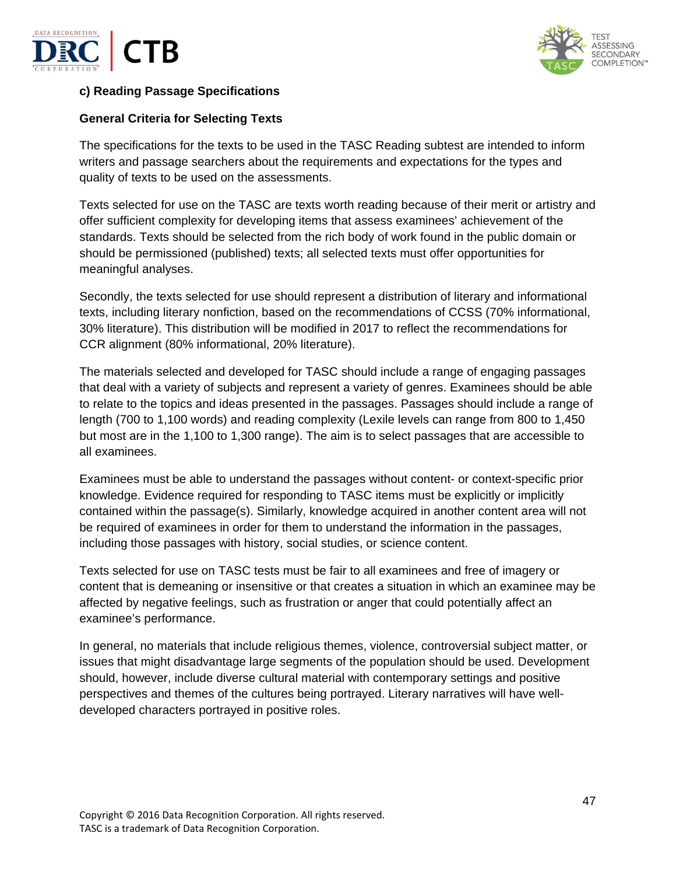



## **c) Reading Passage Specifications**

## **General Criteria for Selecting Texts**

The specifications for the texts to be used in the TASC Reading subtest are intended to inform writers and passage searchers about the requirements and expectations for the types and quality of texts to be used on the assessments.

Texts selected for use on the TASC are texts worth reading because of their merit or artistry and offer sufficient complexity for developing items that assess examinees' achievement of the standards. Texts should be selected from the rich body of work found in the public domain or should be permissioned (published) texts; all selected texts must offer opportunities for meaningful analyses.

Secondly, the texts selected for use should represent a distribution of literary and informational texts, including literary nonfiction, based on the recommendations of CCSS (70% informational, 30% literature). This distribution will be modified in 2017 to reflect the recommendations for CCR alignment (80% informational, 20% literature).

The materials selected and developed for TASC should include a range of engaging passages that deal with a variety of subjects and represent a variety of genres. Examinees should be able to relate to the topics and ideas presented in the passages. Passages should include a range of length (700 to 1,100 words) and reading complexity (Lexile levels can range from 800 to 1,450 but most are in the 1,100 to 1,300 range). The aim is to select passages that are accessible to all examinees.

Examinees must be able to understand the passages without content- or context-specific prior knowledge. Evidence required for responding to TASC items must be explicitly or implicitly contained within the passage(s). Similarly, knowledge acquired in another content area will not be required of examinees in order for them to understand the information in the passages, including those passages with history, social studies, or science content.

Texts selected for use on TASC tests must be fair to all examinees and free of imagery or content that is demeaning or insensitive or that creates a situation in which an examinee may be affected by negative feelings, such as frustration or anger that could potentially affect an examinee's performance.

In general, no materials that include religious themes, violence, controversial subject matter, or issues that might disadvantage large segments of the population should be used. Development should, however, include diverse cultural material with contemporary settings and positive perspectives and themes of the cultures being portrayed. Literary narratives will have welldeveloped characters portrayed in positive roles.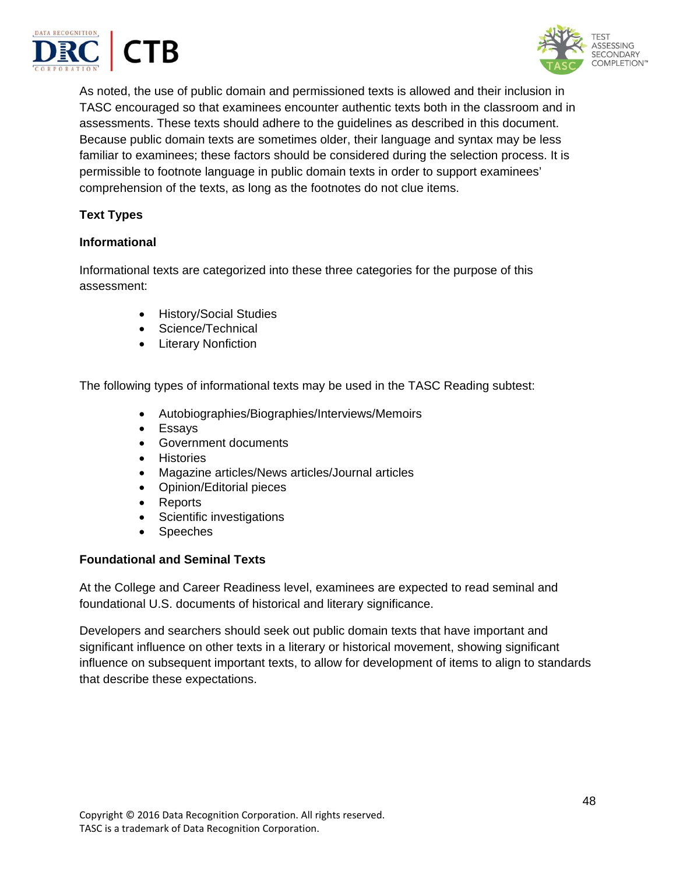



As noted, the use of public domain and permissioned texts is allowed and their inclusion in TASC encouraged so that examinees encounter authentic texts both in the classroom and in assessments. These texts should adhere to the guidelines as described in this document. Because public domain texts are sometimes older, their language and syntax may be less familiar to examinees; these factors should be considered during the selection process. It is permissible to footnote language in public domain texts in order to support examinees' comprehension of the texts, as long as the footnotes do not clue items.

# **Text Types**

#### **Informational**

Informational texts are categorized into these three categories for the purpose of this assessment:

- History/Social Studies
- Science/Technical
- Literary Nonfiction

The following types of informational texts may be used in the TASC Reading subtest:

- Autobiographies/Biographies/Interviews/Memoirs
- Essays
- Government documents
- **•** Histories
- Magazine articles/News articles/Journal articles
- Opinion/Editorial pieces
- Reports
- Scientific investigations
- Speeches

## **Foundational and Seminal Texts**

At the College and Career Readiness level, examinees are expected to read seminal and foundational U.S. documents of historical and literary significance.

Developers and searchers should seek out public domain texts that have important and significant influence on other texts in a literary or historical movement, showing significant influence on subsequent important texts, to allow for development of items to align to standards that describe these expectations.